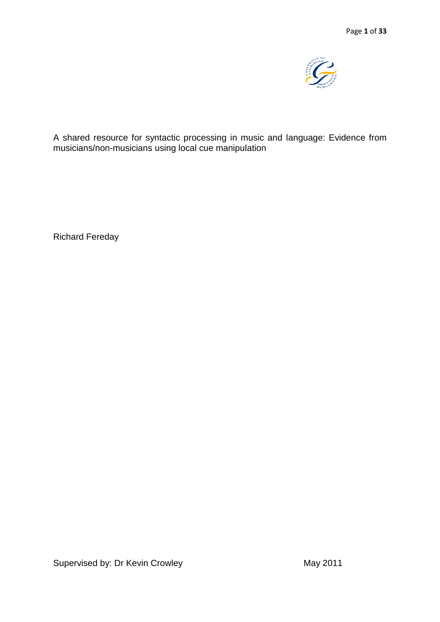

A shared resource for syntactic processing in music and language: Evidence from musicians/non-musicians using local cue manipulation

Richard Fereday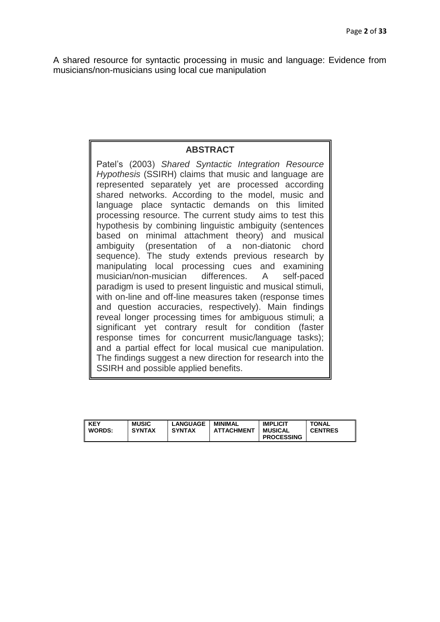A shared resource for syntactic processing in music and language: Evidence from musicians/non-musicians using local cue manipulation

# **ABSTRACT**

Patel"s (2003) *Shared Syntactic Integration Resource Hypothesis* (SSIRH) claims that music and language are represented separately yet are processed according shared networks. According to the model, music and language place syntactic demands on this limited processing resource. The current study aims to test this hypothesis by combining linguistic ambiguity (sentences based on minimal attachment theory) and musical ambiguity (presentation of a non-diatonic chord sequence). The study extends previous research by manipulating local processing cues and examining musician/non-musician differences. A self-paced paradigm is used to present linguistic and musical stimuli, with on-line and off-line measures taken (response times and question accuracies, respectively). Main findings reveal longer processing times for ambiguous stimuli; a significant yet contrary result for condition (faster response times for concurrent music/language tasks); and a partial effect for local musical cue manipulation. The findings suggest a new direction for research into the SSIRH and possible applied benefits.

| <b>KEY</b><br><b>WORDS:</b> | <b>MUSIC</b><br><b>SYNTAX</b> | <b>_ANGUAGE</b><br><b>SYNTAX</b> | MINIMAL<br><b>ATTACHMENT</b> | <b>IMPLICIT</b><br><b>MUSICAL</b><br><b>PROCESSING</b> | <b>TONAL</b><br><b>CENTRES</b> |
|-----------------------------|-------------------------------|----------------------------------|------------------------------|--------------------------------------------------------|--------------------------------|
|-----------------------------|-------------------------------|----------------------------------|------------------------------|--------------------------------------------------------|--------------------------------|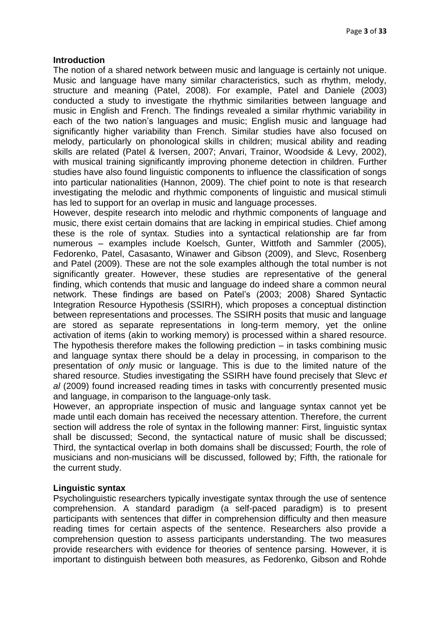#### **Introduction**

The notion of a shared network between music and language is certainly not unique. Music and language have many similar characteristics, such as rhythm, melody, structure and meaning (Patel, 2008). For example, Patel and Daniele (2003) conducted a study to investigate the rhythmic similarities between language and music in English and French. The findings revealed a similar rhythmic variability in each of the two nation's languages and music; English music and language had significantly higher variability than French. Similar studies have also focused on melody, particularly on phonological skills in children; musical ability and reading skills are related (Patel & Iversen, 2007; Anvari, Trainor, Woodside & Levy, 2002), with musical training significantly improving phoneme detection in children. Further studies have also found linguistic components to influence the classification of songs into particular nationalities (Hannon, 2009). The chief point to note is that research investigating the melodic and rhythmic components of linguistic and musical stimuli has led to support for an overlap in music and language processes.

However, despite research into melodic and rhythmic components of language and music, there exist certain domains that are lacking in empirical studies. Chief among these is the role of syntax. Studies into a syntactical relationship are far from numerous – examples include Koelsch, Gunter, Wittfoth and Sammler (2005), Fedorenko, Patel, Casasanto, Winawer and Gibson (2009), and Slevc, Rosenberg and Patel (2009). These are not the sole examples although the total number is not significantly greater. However, these studies are representative of the general finding, which contends that music and language do indeed share a common neural network. These findings are based on Patel"s (2003; 2008) Shared Syntactic Integration Resource Hypothesis (SSIRH), which proposes a conceptual distinction between representations and processes. The SSIRH posits that music and language are stored as separate representations in long-term memory, yet the online activation of items (akin to working memory) is processed within a shared resource. The hypothesis therefore makes the following prediction – in tasks combining music and language syntax there should be a delay in processing, in comparison to the presentation of *only* music or language. This is due to the limited nature of the shared resource. Studies investigating the SSIRH have found precisely that Slevc *et al* (2009) found increased reading times in tasks with concurrently presented music and language, in comparison to the language-only task.

However, an appropriate inspection of music and language syntax cannot yet be made until each domain has received the necessary attention. Therefore, the current section will address the role of syntax in the following manner: First, linguistic syntax shall be discussed; Second, the syntactical nature of music shall be discussed; Third, the syntactical overlap in both domains shall be discussed; Fourth, the role of musicians and non-musicians will be discussed, followed by; Fifth, the rationale for the current study.

## **Linguistic syntax**

Psycholinguistic researchers typically investigate syntax through the use of sentence comprehension. A standard paradigm (a self-paced paradigm) is to present participants with sentences that differ in comprehension difficulty and then measure reading times for certain aspects of the sentence. Researchers also provide a comprehension question to assess participants understanding. The two measures provide researchers with evidence for theories of sentence parsing. However, it is important to distinguish between both measures, as Fedorenko, Gibson and Rohde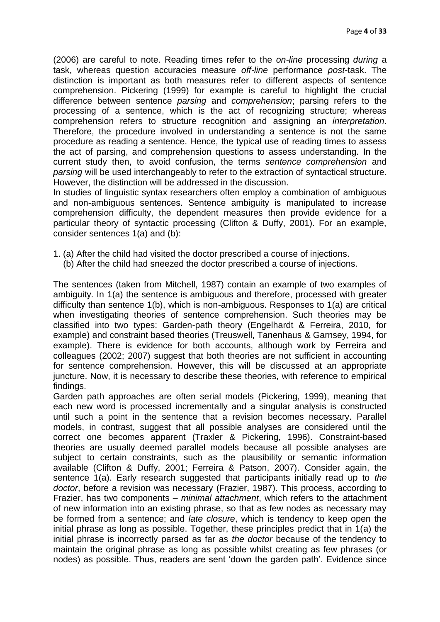(2006) are careful to note. Reading times refer to the *on-line* processing *during* a task, whereas question accuracies measure *off-line* performance *post*-task. The distinction is important as both measures refer to different aspects of sentence comprehension. Pickering (1999) for example is careful to highlight the crucial difference between sentence *parsing* and *comprehension*; parsing refers to the processing of a sentence, which is the act of recognizing structure; whereas comprehension refers to structure recognition and assigning an *interpretation*. Therefore, the procedure involved in understanding a sentence is not the same procedure as reading a sentence. Hence, the typical use of reading times to assess the act of parsing, and comprehension questions to assess understanding. In the current study then, to avoid confusion, the terms *sentence comprehension* and *parsing* will be used interchangeably to refer to the extraction of syntactical structure. However, the distinction will be addressed in the discussion.

In studies of linguistic syntax researchers often employ a combination of ambiguous and non-ambiguous sentences. Sentence ambiguity is manipulated to increase comprehension difficulty, the dependent measures then provide evidence for a particular theory of syntactic processing (Clifton & Duffy, 2001). For an example, consider sentences 1(a) and (b):

- 1. (a) After the child had visited the doctor prescribed a course of injections.
	- (b) After the child had sneezed the doctor prescribed a course of injections.

The sentences (taken from Mitchell, 1987) contain an example of two examples of ambiguity. In 1(a) the sentence is ambiguous and therefore, processed with greater difficulty than sentence 1(b), which is non-ambiguous. Responses to 1(a) are critical when investigating theories of sentence comprehension. Such theories may be classified into two types: Garden-path theory (Engelhardt & Ferreira, 2010, for example) and constraint based theories (Treuswell, Tanenhaus & Garnsey, 1994, for example). There is evidence for both accounts, although work by Ferreira and colleagues (2002; 2007) suggest that both theories are not sufficient in accounting for sentence comprehension. However, this will be discussed at an appropriate juncture. Now, it is necessary to describe these theories, with reference to empirical findings.

Garden path approaches are often serial models (Pickering, 1999), meaning that each new word is processed incrementally and a singular analysis is constructed until such a point in the sentence that a revision becomes necessary. Parallel models, in contrast, suggest that all possible analyses are considered until the correct one becomes apparent (Traxler & Pickering, 1996). Constraint-based theories are usually deemed parallel models because all possible analyses are subject to certain constraints, such as the plausibility or semantic information available (Clifton & Duffy, 2001; Ferreira & Patson, 2007). Consider again, the sentence 1(a). Early research suggested that participants initially read up to *the doctor*, before a revision was necessary (Frazier, 1987). This process, according to Frazier, has two components – *minimal attachment*, which refers to the attachment of new information into an existing phrase, so that as few nodes as necessary may be formed from a sentence; and *late closure*, which is tendency to keep open the initial phrase as long as possible. Together, these principles predict that in 1(a) the initial phrase is incorrectly parsed as far as *the doctor* because of the tendency to maintain the original phrase as long as possible whilst creating as few phrases (or nodes) as possible. Thus, readers are sent "down the garden path". Evidence since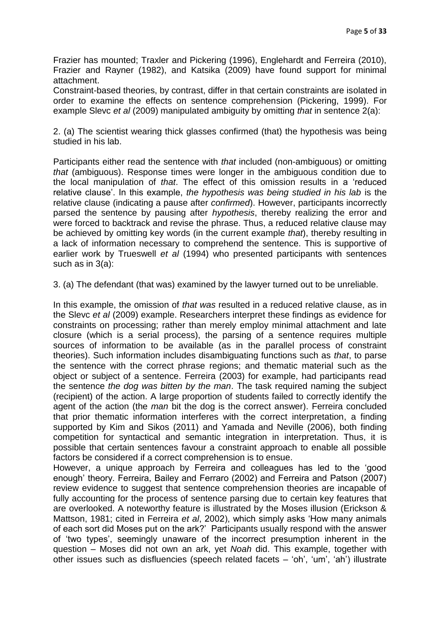Frazier has mounted; Traxler and Pickering (1996), Englehardt and Ferreira (2010), Frazier and Rayner (1982), and Katsika (2009) have found support for minimal attachment.

Constraint-based theories, by contrast, differ in that certain constraints are isolated in order to examine the effects on sentence comprehension (Pickering, 1999). For example Slevc *et al* (2009) manipulated ambiguity by omitting *that* in sentence 2(a):

2. (a) The scientist wearing thick glasses confirmed (that) the hypothesis was being studied in his lab.

Participants either read the sentence with *that* included (non-ambiguous) or omitting *that* (ambiguous). Response times were longer in the ambiguous condition due to the local manipulation of *that*. The effect of this omission results in a "reduced relative clause". In this example, *the hypothesis was being studied in his lab* is the relative clause (indicating a pause after *confirmed*). However, participants incorrectly parsed the sentence by pausing after *hypothesis*, thereby realizing the error and were forced to backtrack and revise the phrase. Thus, a reduced relative clause may be achieved by omitting key words (in the current example *that*), thereby resulting in a lack of information necessary to comprehend the sentence. This is supportive of earlier work by Trueswell *et al* (1994) who presented participants with sentences such as in 3(a):

3. (a) The defendant (that was) examined by the lawyer turned out to be unreliable.

In this example, the omission of *that was* resulted in a reduced relative clause, as in the Slevc *et al* (2009) example. Researchers interpret these findings as evidence for constraints on processing; rather than merely employ minimal attachment and late closure (which is a serial process), the parsing of a sentence requires multiple sources of information to be available (as in the parallel process of constraint theories). Such information includes disambiguating functions such as *that*, to parse the sentence with the correct phrase regions; and thematic material such as the object or subject of a sentence. Ferreira (2003) for example, had participants read the sentence *the dog was bitten by the man*. The task required naming the subject (recipient) of the action. A large proportion of students failed to correctly identify the agent of the action (the *man* bit the dog is the correct answer). Ferreira concluded that prior thematic information interferes with the correct interpretation, a finding supported by Kim and Sikos (2011) and Yamada and Neville (2006), both finding competition for syntactical and semantic integration in interpretation. Thus, it is possible that certain sentences favour a constraint approach to enable all possible factors be considered if a correct comprehension is to ensue.

However, a unique approach by Ferreira and colleagues has led to the "good enough" theory. Ferreira, Bailey and Ferraro (2002) and Ferreira and Patson (2007) review evidence to suggest that sentence comprehension theories are incapable of fully accounting for the process of sentence parsing due to certain key features that are overlooked. A noteworthy feature is illustrated by the Moses illusion (Erickson & Mattson, 1981; cited in Ferreira *et al*, 2002), which simply asks "How many animals of each sort did Moses put on the ark?" Participants usually respond with the answer of "two types", seemingly unaware of the incorrect presumption inherent in the question – Moses did not own an ark, yet *Noah* did. This example, together with other issues such as disfluencies (speech related facets – "oh", "um", "ah") illustrate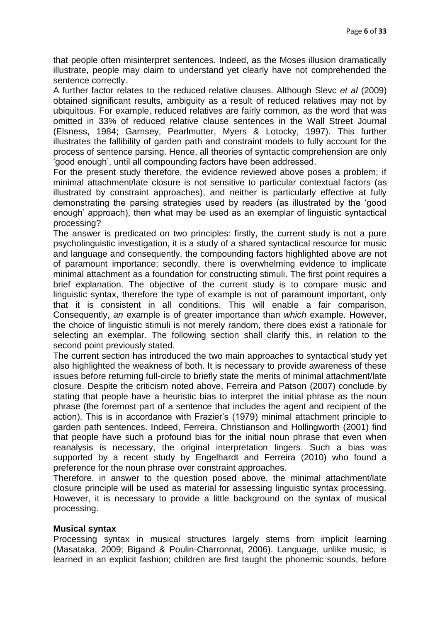that people often misinterpret sentences. Indeed, as the Moses illusion dramatically illustrate, people may claim to understand yet clearly have not comprehended the sentence correctly.

A further factor relates to the reduced relative clauses. Although Slevc *et al* (2009) obtained significant results, ambiguity as a result of reduced relatives may not by ubiquitous. For example, reduced relatives are fairly common, as the word that was omitted in 33% of reduced relative clause sentences in the Wall Street Journal (Elsness, 1984; Garnsey, Pearlmutter, Myers & Lotocky, 1997). This further illustrates the fallibility of garden path and constraint models to fully account for the process of sentence parsing. Hence, all theories of syntactic comprehension are only "good enough", until all compounding factors have been addressed.

For the present study therefore, the evidence reviewed above poses a problem; if minimal attachment/late closure is not sensitive to particular contextual factors (as illustrated by constraint approaches), and neither is particularly effective at fully demonstrating the parsing strategies used by readers (as illustrated by the "good enough" approach), then what may be used as an exemplar of linguistic syntactical processing?

The answer is predicated on two principles: firstly, the current study is not a pure psycholinguistic investigation, it is a study of a shared syntactical resource for music and language and consequently, the compounding factors highlighted above are not of paramount importance; secondly, there is overwhelming evidence to implicate minimal attachment as a foundation for constructing stimuli. The first point requires a brief explanation. The objective of the current study is to compare music and linguistic syntax, therefore the type of example is not of paramount important, only that it is consistent in all conditions. This will enable a fair comparison. Consequently, *an* example is of greater importance than *which* example. However, the choice of linguistic stimuli is not merely random, there does exist a rationale for selecting an exemplar. The following section shall clarify this, in relation to the second point previously stated.

The current section has introduced the two main approaches to syntactical study yet also highlighted the weakness of both. It is necessary to provide awareness of these issues before returning full-circle to briefly state the merits of minimal attachment/late closure. Despite the criticism noted above, Ferreira and Patson (2007) conclude by stating that people have a heuristic bias to interpret the initial phrase as the noun phrase (the foremost part of a sentence that includes the agent and recipient of the action). This is in accordance with Frazier"s (1979) minimal attachment principle to garden path sentences. Indeed, Ferreira, Christianson and Hollingworth (2001) find that people have such a profound bias for the initial noun phrase that even when reanalysis is necessary, the original interpretation lingers. Such a bias was supported by a recent study by Engelhardt and Ferreira (2010) who found a preference for the noun phrase over constraint approaches.

Therefore, in answer to the question posed above, the minimal attachment/late closure principle will be used as material for assessing linguistic syntax processing. However, it is necessary to provide a little background on the syntax of musical processing.

#### **Musical syntax**

Processing syntax in musical structures largely stems from implicit learning (Masataka, 2009; Bigand & Poulin-Charronnat, 2006). Language, unlike music, is learned in an explicit fashion; children are first taught the phonemic sounds, before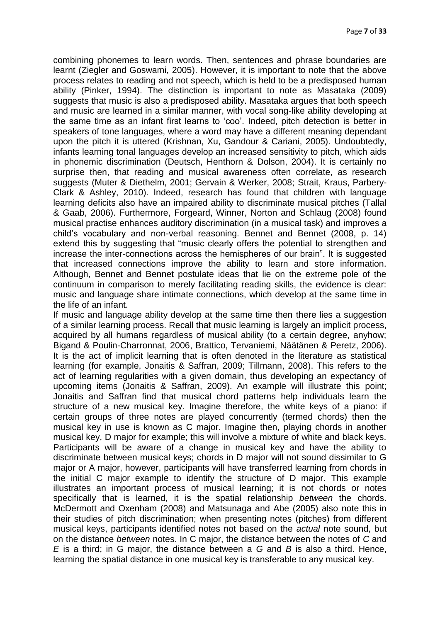combining phonemes to learn words. Then, sentences and phrase boundaries are learnt (Ziegler and Goswami, 2005). However, it is important to note that the above process relates to reading and not speech, which is held to be a predisposed human ability (Pinker, 1994). The distinction is important to note as Masataka (2009) suggests that music is also a predisposed ability. Masataka argues that both speech and music are learned in a similar manner, with vocal song-like ability developing at the same time as an infant first learns to "coo". Indeed, pitch detection is better in speakers of tone languages, where a word may have a different meaning dependant upon the pitch it is uttered (Krishnan, Xu, Gandour & Cariani, 2005). Undoubtedly, infants learning tonal languages develop an increased sensitivity to pitch, which aids in phonemic discrimination (Deutsch, Henthorn & Dolson, 2004). It is certainly no surprise then, that reading and musical awareness often correlate, as research suggests (Muter & Diethelm, 2001; Gervain & Werker, 2008; Strait, Kraus, Parbery-Clark & Ashley, 2010). Indeed, research has found that children with language learning deficits also have an impaired ability to discriminate musical pitches (Tallal & Gaab, 2006). Furthermore, Forgeard, Winner, Norton and Schlaug (2008) found musical practise enhances auditory discrimination (in a musical task) and improves a child"s vocabulary and non-verbal reasoning. Bennet and Bennet (2008, p. 14) extend this by suggesting that "music clearly offers the potential to strengthen and increase the inter-connections across the hemispheres of our brain". It is suggested that increased connections improve the ability to learn and store information. Although, Bennet and Bennet postulate ideas that lie on the extreme pole of the continuum in comparison to merely facilitating reading skills, the evidence is clear: music and language share intimate connections, which develop at the same time in the life of an infant.

If music and language ability develop at the same time then there lies a suggestion of a similar learning process. Recall that music learning is largely an implicit process, acquired by all humans regardless of musical ability (to a certain degree, anyhow; Bigand & Poulin-Charronnat, 2006, Brattico, Tervaniemi, Näätänen & Peretz, 2006). It is the act of implicit learning that is often denoted in the literature as statistical learning (for example, Jonaitis & Saffran, 2009; Tillmann, 2008). This refers to the act of learning regularities with a given domain, thus developing an expectancy of upcoming items (Jonaitis & Saffran, 2009). An example will illustrate this point; Jonaitis and Saffran find that musical chord patterns help individuals learn the structure of a new musical key. Imagine therefore, the white keys of a piano: if certain groups of three notes are played concurrently (termed chords) then the musical key in use is known as C major. Imagine then, playing chords in another musical key, D major for example; this will involve a mixture of white and black keys. Participants will be aware of a change in musical key and have the ability to discriminate between musical keys; chords in D major will not sound dissimilar to G major or A major, however, participants will have transferred learning from chords in the initial C major example to identify the structure of D major. This example illustrates an important process of musical learning; it is not chords or notes specifically that is learned, it is the spatial relationship *between* the chords. McDermott and Oxenham (2008) and Matsunaga and Abe (2005) also note this in their studies of pitch discrimination; when presenting notes (pitches) from different musical keys, participants identified notes not based on the *actual* note sound, but on the distance *between* notes. In C major, the distance between the notes of *C* and *E* is a third; in G major, the distance between a *G* and *B* is also a third. Hence, learning the spatial distance in one musical key is transferable to any musical key.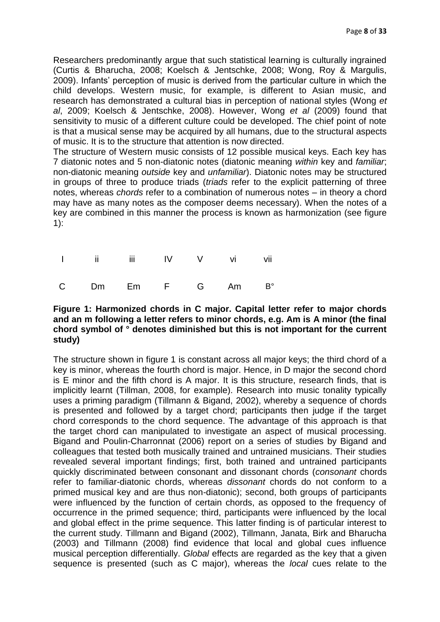Researchers predominantly argue that such statistical learning is culturally ingrained (Curtis & Bharucha, 2008; Koelsch & Jentschke, 2008; Wong, Roy & Margulis, 2009). Infants" perception of music is derived from the particular culture in which the child develops. Western music, for example, is different to Asian music, and research has demonstrated a cultural bias in perception of national styles (Wong *et al*, 2009; Koelsch & Jentschke, 2008). However, Wong *et al* (2009) found that sensitivity to music of a different culture could be developed. The chief point of note is that a musical sense may be acquired by all humans, due to the structural aspects of music. It is to the structure that attention is now directed.

The structure of Western music consists of 12 possible musical keys. Each key has 7 diatonic notes and 5 non-diatonic notes (diatonic meaning *within* key and *familiar*; non-diatonic meaning *outside* key and *unfamiliar*). Diatonic notes may be structured in groups of three to produce triads (*triads* refer to the explicit patterning of three notes, whereas *chords* refer to a combination of numerous notes – in theory a chord may have as many notes as the composer deems necessary). When the notes of a key are combined in this manner the process is known as harmonization (see figure 1):

| 1 ii iii IV V vi vii |  |  |  |
|----------------------|--|--|--|
| C Dm Em F G Am B°    |  |  |  |

#### **Figure 1: Harmonized chords in C major. Capital letter refer to major chords and an m following a letter refers to minor chords, e.g. Am is A minor (the final chord symbol of ° denotes diminished but this is not important for the current study)**

The structure shown in figure 1 is constant across all major keys; the third chord of a key is minor, whereas the fourth chord is major. Hence, in D major the second chord is E minor and the fifth chord is A major. It is this structure, research finds, that is implicitly learnt (Tillman, 2008, for example). Research into music tonality typically uses a priming paradigm (Tillmann & Bigand, 2002), whereby a sequence of chords is presented and followed by a target chord; participants then judge if the target chord corresponds to the chord sequence. The advantage of this approach is that the target chord can manipulated to investigate an aspect of musical processing. Bigand and Poulin-Charronnat (2006) report on a series of studies by Bigand and colleagues that tested both musically trained and untrained musicians. Their studies revealed several important findings; first, both trained and untrained participants quickly discriminated between consonant and dissonant chords (*consonant* chords refer to familiar-diatonic chords, whereas *dissonant* chords do not conform to a primed musical key and are thus non-diatonic); second, both groups of participants were influenced by the function of certain chords, as opposed to the frequency of occurrence in the primed sequence; third, participants were influenced by the local and global effect in the prime sequence. This latter finding is of particular interest to the current study. Tillmann and Bigand (2002), Tillmann, Janata, Birk and Bharucha (2003) and Tillmann (2008) find evidence that local and global cues influence musical perception differentially. *Global* effects are regarded as the key that a given sequence is presented (such as C major), whereas the *local* cues relate to the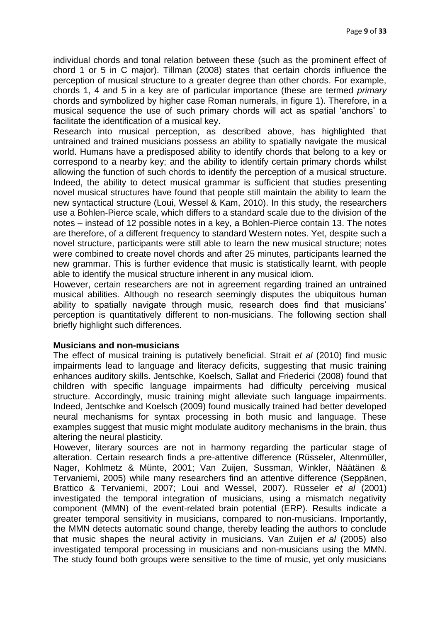individual chords and tonal relation between these (such as the prominent effect of chord 1 or 5 in C major). Tillman (2008) states that certain chords influence the perception of musical structure to a greater degree than other chords. For example, chords 1, 4 and 5 in a key are of particular importance (these are termed *primary* chords and symbolized by higher case Roman numerals, in figure 1). Therefore, in a musical sequence the use of such primary chords will act as spatial "anchors" to facilitate the identification of a musical key.

Research into musical perception, as described above, has highlighted that untrained and trained musicians possess an ability to spatially navigate the musical world. Humans have a predisposed ability to identify chords that belong to a key or correspond to a nearby key; and the ability to identify certain primary chords whilst allowing the function of such chords to identify the perception of a musical structure. Indeed, the ability to detect musical grammar is sufficient that studies presenting novel musical structures have found that people still maintain the ability to learn the new syntactical structure (Loui, Wessel & Kam, 2010). In this study, the researchers use a Bohlen-Pierce scale, which differs to a standard scale due to the division of the notes – instead of 12 possible notes in a key, a Bohlen-Pierce contain 13. The notes are therefore, of a different frequency to standard Western notes. Yet, despite such a novel structure, participants were still able to learn the new musical structure; notes were combined to create novel chords and after 25 minutes, participants learned the new grammar. This is further evidence that music is statistically learnt, with people able to identify the musical structure inherent in any musical idiom.

However, certain researchers are not in agreement regarding trained an untrained musical abilities. Although no research seemingly disputes the ubiquitous human ability to spatially navigate through music, research does find that musicians" perception is quantitatively different to non-musicians. The following section shall briefly highlight such differences.

#### **Musicians and non-musicians**

The effect of musical training is putatively beneficial. Strait *et al* (2010) find music impairments lead to language and literacy deficits, suggesting that music training enhances auditory skills. Jentschke, Koelsch, Sallat and Friederici (2008) found that children with specific language impairments had difficulty perceiving musical structure. Accordingly, music training might alleviate such language impairments. Indeed, Jentschke and Koelsch (2009) found musically trained had better developed neural mechanisms for syntax processing in both music and language. These examples suggest that music might modulate auditory mechanisms in the brain, thus altering the neural plasticity.

However, literary sources are not in harmony regarding the particular stage of alteration. Certain research finds a pre-attentive difference (Rüsseler, Altenmüller, Nager, Kohlmetz & Münte, 2001; Van Zuijen, Sussman, Winkler, Näätänen & Tervaniemi, 2005) while many researchers find an attentive difference (Seppänen, Brattico & Tervaniemi, 2007; Loui and Wessel, 2007). Rüsseler *et al* (2001) investigated the temporal integration of musicians, using a mismatch negativity component (MMN) of the event-related brain potential (ERP). Results indicate a greater temporal sensitivity in musicians, compared to non-musicians. Importantly, the MMN detects automatic sound change, thereby leading the authors to conclude that music shapes the neural activity in musicians. Van Zuijen *et al* (2005) also investigated temporal processing in musicians and non-musicians using the MMN. The study found both groups were sensitive to the time of music, yet only musicians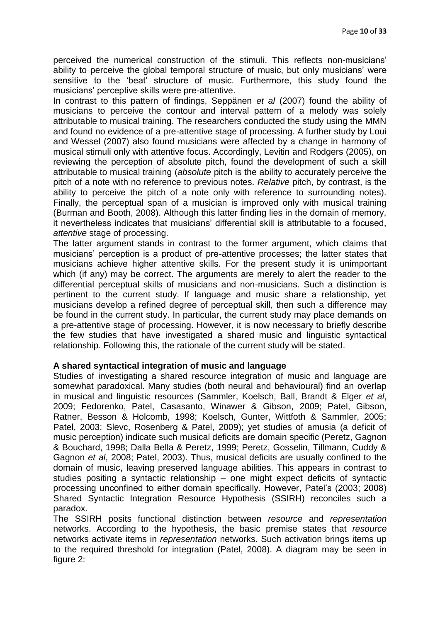perceived the numerical construction of the stimuli. This reflects non-musicians" ability to perceive the global temporal structure of music, but only musicians' were sensitive to the "beat" structure of music. Furthermore, this study found the musicians" perceptive skills were pre-attentive.

In contrast to this pattern of findings, Seppänen *et al* (2007) found the ability of musicians to perceive the contour and interval pattern of a melody was solely attributable to musical training. The researchers conducted the study using the MMN and found no evidence of a pre-attentive stage of processing. A further study by Loui and Wessel (2007) also found musicians were affected by a change in harmony of musical stimuli only with attentive focus. Accordingly, Levitin and Rodgers (2005), on reviewing the perception of absolute pitch, found the development of such a skill attributable to musical training (*absolute* pitch is the ability to accurately perceive the pitch of a note with no reference to previous notes. *Relative* pitch, by contrast, is the ability to perceive the pitch of a note only with reference to surrounding notes). Finally, the perceptual span of a musician is improved only with musical training (Burman and Booth, 2008). Although this latter finding lies in the domain of memory, it nevertheless indicates that musicians" differential skill is attributable to a focused, *attentive* stage of processing.

The latter argument stands in contrast to the former argument, which claims that musicians" perception is a product of pre-attentive processes; the latter states that musicians achieve higher attentive skills. For the present study it is unimportant which (if any) may be correct. The arguments are merely to alert the reader to the differential perceptual skills of musicians and non-musicians. Such a distinction is pertinent to the current study. If language and music share a relationship, yet musicians develop a refined degree of perceptual skill, then such a difference may be found in the current study. In particular, the current study may place demands on a pre-attentive stage of processing. However, it is now necessary to briefly describe the few studies that have investigated a shared music and linguistic syntactical relationship. Following this, the rationale of the current study will be stated.

## **A shared syntactical integration of music and language**

Studies of investigating a shared resource integration of music and language are somewhat paradoxical. Many studies (both neural and behavioural) find an overlap in musical and linguistic resources (Sammler, Koelsch, Ball, Brandt & Elger *et al*, 2009; Fedorenko, Patel, Casasanto, Winawer & Gibson, 2009; Patel, Gibson, Ratner, Besson & Holcomb, 1998; Koelsch, Gunter, Wittfoth & Sammler, 2005; Patel, 2003; Slevc, Rosenberg & Patel, 2009); yet studies of amusia (a deficit of music perception) indicate such musical deficits are domain specific (Peretz, Gagnon & Bouchard, 1998; Dalla Bella & Peretz, 1999; Peretz, Gosselin, Tillmann, Cuddy & Gagnon *et al*, 2008; Patel, 2003). Thus, musical deficits are usually confined to the domain of music, leaving preserved language abilities. This appears in contrast to studies positing a syntactic relationship – one might expect deficits of syntactic processing unconfined to either domain specifically. However, Patel"s (2003; 2008) Shared Syntactic Integration Resource Hypothesis (SSIRH) reconciles such a paradox.

The SSIRH posits functional distinction between *resource* and *representation* networks. According to the hypothesis, the basic premise states that *resource* networks activate items in *representation* networks. Such activation brings items up to the required threshold for integration (Patel, 2008). A diagram may be seen in figure 2: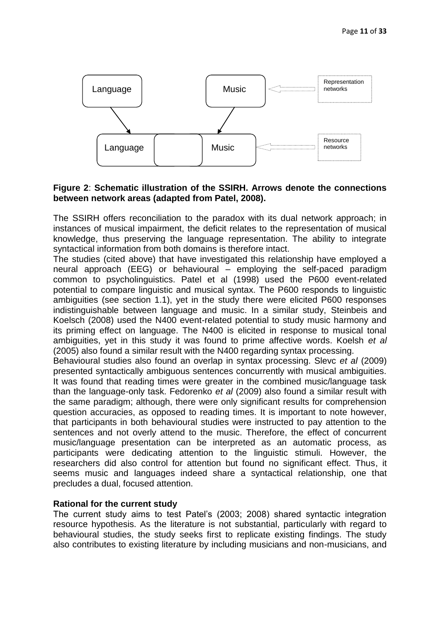

## **Figure 2**: **Schematic illustration of the SSIRH. Arrows denote the connections between network areas (adapted from Patel, 2008).**

The SSIRH offers reconciliation to the paradox with its dual network approach; in instances of musical impairment, the deficit relates to the representation of musical knowledge, thus preserving the language representation. The ability to integrate syntactical information from both domains is therefore intact.

The studies (cited above) that have investigated this relationship have employed a neural approach (EEG) or behavioural – employing the self-paced paradigm common to psycholinguistics. Patel et al (1998) used the P600 event-related potential to compare linguistic and musical syntax. The P600 responds to linguistic ambiguities (see section 1.1), yet in the study there were elicited P600 responses indistinguishable between language and music. In a similar study, Steinbeis and Koelsch (2008) used the N400 event-related potential to study music harmony and its priming effect on language. The N400 is elicited in response to musical tonal ambiguities, yet in this study it was found to prime affective words. Koelsh *et al* (2005) also found a similar result with the N400 regarding syntax processing.

Behavioural studies also found an overlap in syntax processing. Slevc *et al* (2009) presented syntactically ambiguous sentences concurrently with musical ambiguities. It was found that reading times were greater in the combined music/language task than the language-only task. Fedorenko *et al* (2009) also found a similar result with the same paradigm; although, there were only significant results for comprehension question accuracies, as opposed to reading times. It is important to note however, that participants in both behavioural studies were instructed to pay attention to the sentences and not overly attend to the music. Therefore, the effect of concurrent music/language presentation can be interpreted as an automatic process, as participants were dedicating attention to the linguistic stimuli. However, the researchers did also control for attention but found no significant effect. Thus, it seems music and languages indeed share a syntactical relationship, one that precludes a dual, focused attention.

## **Rational for the current study**

The current study aims to test Patel"s (2003; 2008) shared syntactic integration resource hypothesis. As the literature is not substantial, particularly with regard to behavioural studies, the study seeks first to replicate existing findings. The study also contributes to existing literature by including musicians and non-musicians, and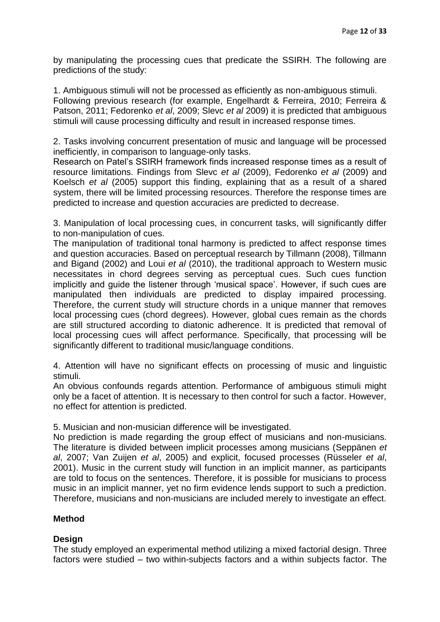by manipulating the processing cues that predicate the SSIRH. The following are predictions of the study:

1. Ambiguous stimuli will not be processed as efficiently as non-ambiguous stimuli. Following previous research (for example, Engelhardt & Ferreira, 2010; Ferreira & Patson, 2011; Fedorenko *et al*, 2009; Slevc *et al* 2009) it is predicted that ambiguous stimuli will cause processing difficulty and result in increased response times.

2. Tasks involving concurrent presentation of music and language will be processed inefficiently, in comparison to language-only tasks.

Research on Patel"s SSIRH framework finds increased response times as a result of resource limitations. Findings from Slevc *et al* (2009), Fedorenko *et al* (2009) and Koelsch *et al* (2005) support this finding, explaining that as a result of a shared system, there will be limited processing resources. Therefore the response times are predicted to increase and question accuracies are predicted to decrease.

3. Manipulation of local processing cues, in concurrent tasks, will significantly differ to non-manipulation of cues.

The manipulation of traditional tonal harmony is predicted to affect response times and question accuracies. Based on perceptual research by Tillmann (2008), Tillmann and Bigand (2002) and Loui *et al* (2010), the traditional approach to Western music necessitates in chord degrees serving as perceptual cues. Such cues function implicitly and guide the listener through 'musical space'. However, if such cues are manipulated then individuals are predicted to display impaired processing. Therefore, the current study will structure chords in a unique manner that removes local processing cues (chord degrees). However, global cues remain as the chords are still structured according to diatonic adherence. It is predicted that removal of local processing cues will affect performance. Specifically, that processing will be significantly different to traditional music/language conditions.

4. Attention will have no significant effects on processing of music and linguistic stimuli.

An obvious confounds regards attention. Performance of ambiguous stimuli might only be a facet of attention. It is necessary to then control for such a factor. However, no effect for attention is predicted.

5. Musician and non-musician difference will be investigated.

No prediction is made regarding the group effect of musicians and non-musicians. The literature is divided between implicit processes among musicians (Seppänen *et al*, 2007; Van Zuijen *et al*, 2005) and explicit, focused processes (Rüsseler *et al*, 2001). Music in the current study will function in an implicit manner, as participants are told to focus on the sentences. Therefore, it is possible for musicians to process music in an implicit manner, yet no firm evidence lends support to such a prediction. Therefore, musicians and non-musicians are included merely to investigate an effect.

## **Method**

# **Design**

The study employed an experimental method utilizing a mixed factorial design. Three factors were studied – two within-subjects factors and a within subjects factor. The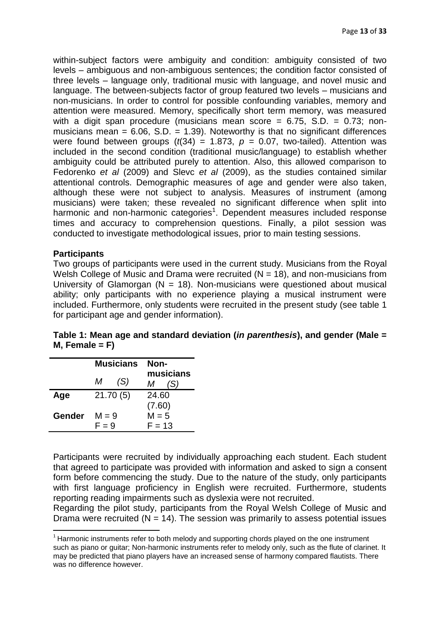within-subject factors were ambiguity and condition: ambiguity consisted of two levels – ambiguous and non-ambiguous sentences; the condition factor consisted of three levels – language only, traditional music with language, and novel music and language. The between-subjects factor of group featured two levels – musicians and non-musicians. In order to control for possible confounding variables, memory and attention were measured. Memory, specifically short term memory, was measured with a digit span procedure (musicians mean score =  $6.75$ , S.D. =  $0.73$ ; nonmusicians mean =  $6.06$ , S.D. =  $1.39$ ). Noteworthy is that no significant differences were found between groups  $(t(34) = 1.873, p = 0.07,$  two-tailed). Attention was included in the second condition (traditional music/language) to establish whether ambiguity could be attributed purely to attention. Also, this allowed comparison to Fedorenko *et al* (2009) and Slevc *et al* (2009), as the studies contained similar attentional controls. Demographic measures of age and gender were also taken, although these were not subject to analysis. Measures of instrument (among musicians) were taken; these revealed no significant difference when split into harmonic and non-harmonic categories<sup>1</sup>. Dependent measures included response times and accuracy to comprehension questions. Finally, a pilot session was conducted to investigate methodological issues, prior to main testing sessions.

## **Participants**

**.** 

Two groups of participants were used in the current study. Musicians from the Royal Welsh College of Music and Drama were recruited  $(N = 18)$ , and non-musicians from University of Glamorgan ( $N = 18$ ). Non-musicians were questioned about musical ability; only participants with no experience playing a musical instrument were included. Furthermore, only students were recruited in the present study (see table 1 for participant age and gender information).

| Table 1: Mean age and standard deviation (in parenthesis), and gender (Male = |  |  |
|-------------------------------------------------------------------------------|--|--|
| $M,$ Female = F)                                                              |  |  |

|        | <b>Musicians</b> |     | Non-     |                  |
|--------|------------------|-----|----------|------------------|
|        | М                | (S) | М        | musicians<br>(S) |
| Age    | 21.70(5)         |     | 24.60    |                  |
|        |                  |     | (7.60)   |                  |
| Gender | $M = 9$          |     | $M = 5$  |                  |
|        | $F = 9$          |     | $F = 13$ |                  |

Participants were recruited by individually approaching each student. Each student that agreed to participate was provided with information and asked to sign a consent form before commencing the study. Due to the nature of the study, only participants with first language proficiency in English were recruited. Furthermore, students reporting reading impairments such as dyslexia were not recruited.

Regarding the pilot study, participants from the Royal Welsh College of Music and Drama were recruited  $(N = 14)$ . The session was primarily to assess potential issues

 $1$  Harmonic instruments refer to both melody and supporting chords played on the one instrument such as piano or guitar; Non-harmonic instruments refer to melody only, such as the flute of clarinet. It may be predicted that piano players have an increased sense of harmony compared flautists. There was no difference however.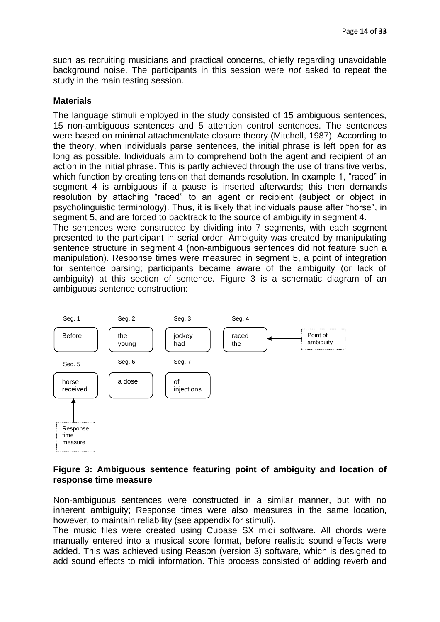such as recruiting musicians and practical concerns, chiefly regarding unavoidable background noise. The participants in this session were *not* asked to repeat the study in the main testing session.

## **Materials**

The language stimuli employed in the study consisted of 15 ambiguous sentences, 15 non-ambiguous sentences and 5 attention control sentences. The sentences were based on minimal attachment/late closure theory (Mitchell, 1987). According to the theory, when individuals parse sentences, the initial phrase is left open for as long as possible. Individuals aim to comprehend both the agent and recipient of an action in the initial phrase. This is partly achieved through the use of transitive verbs, which function by creating tension that demands resolution. In example 1, "raced" in segment 4 is ambiguous if a pause is inserted afterwards; this then demands resolution by attaching "raced" to an agent or recipient (subject or object in psycholinguistic terminology). Thus, it is likely that individuals pause after "horse", in segment 5, and are forced to backtrack to the source of ambiguity in segment 4. The sentences were constructed by dividing into 7 segments, with each segment presented to the participant in serial order. Ambiguity was created by manipulating sentence structure in segment 4 (non-ambiguous sentences did not feature such a manipulation). Response times were measured in segment 5, a point of integration for sentence parsing; participants became aware of the ambiguity (or lack of ambiguity) at this section of sentence. Figure 3 is a schematic diagram of an ambiguous sentence construction:



## **Figure 3: Ambiguous sentence featuring point of ambiguity and location of response time measure**

Non-ambiguous sentences were constructed in a similar manner, but with no inherent ambiguity; Response times were also measures in the same location, however, to maintain reliability (see appendix for stimuli).

The music files were created using Cubase SX midi software. All chords were manually entered into a musical score format, before realistic sound effects were added. This was achieved using Reason (version 3) software, which is designed to add sound effects to midi information. This process consisted of adding reverb and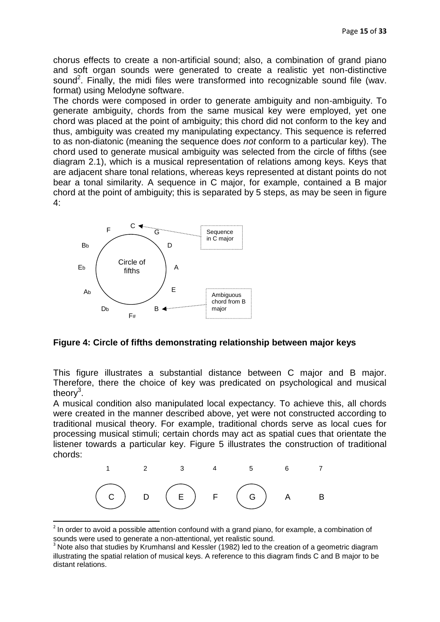chorus effects to create a non-artificial sound; also, a combination of grand piano and soft organ sounds were generated to create a realistic yet non-distinctive sound<sup>2</sup>. Finally, the midi files were transformed into recognizable sound file (wav. format) using Melodyne software.

The chords were composed in order to generate ambiguity and non-ambiguity. To generate ambiguity, chords from the same musical key were employed, yet one chord was placed at the point of ambiguity; this chord did not conform to the key and thus, ambiguity was created my manipulating expectancy. This sequence is referred to as non-diatonic (meaning the sequence does *not* conform to a particular key). The chord used to generate musical ambiguity was selected from the circle of fifths (see diagram 2.1), which is a musical representation of relations among keys. Keys that are adjacent share tonal relations, whereas keys represented at distant points do not bear a tonal similarity. A sequence in C major, for example, contained a B major chord at the point of ambiguity; this is separated by 5 steps, as may be seen in figure 4:



1

**Figure 4: Circle of fifths demonstrating relationship between major keys** 

This figure illustrates a substantial distance between C major and B major. Therefore, there the choice of key was predicated on psychological and musical theory<sup>3</sup>.

A musical condition also manipulated local expectancy. To achieve this, all chords were created in the manner described above, yet were not constructed according to traditional musical theory. For example, traditional chords serve as local cues for processing musical stimuli; certain chords may act as spatial cues that orientate the listener towards a particular key. Figure 5 illustrates the construction of traditional chords:



 $2$  In order to avoid a possible attention confound with a grand piano, for example, a combination of sounds were used to generate a non-attentional, yet realistic sound.

<sup>&</sup>lt;sup>3</sup> Note also that studies by Krumhansl and Kessler (1982) led to the creation of a geometric diagram illustrating the spatial relation of musical keys. A reference to this diagram finds C and B major to be distant relations.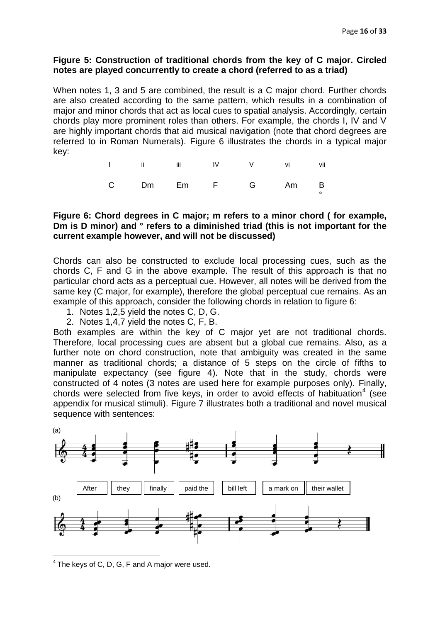#### **Figure 5: Construction of traditional chords from the key of C major. Circled notes are played concurrently to create a chord (referred to as a triad)**

When notes 1, 3 and 5 are combined, the result is a C major chord. Further chords are also created according to the same pattern, which results in a combination of major and minor chords that act as local cues to spatial analysis. Accordingly, certain chords play more prominent roles than others. For example, the chords I, IV and V are highly important chords that aid musical navigation (note that chord degrees are referred to in Roman Numerals). Figure 6 illustrates the chords in a typical major key:

|  | 1 ii iii IV V vi vii |  |  |
|--|----------------------|--|--|
|  | C Dm Em F G Am B     |  |  |

## **Figure 6: Chord degrees in C major; m refers to a minor chord ( for example, Dm is D minor) and ° refers to a diminished triad (this is not important for the current example however, and will not be discussed)**

Chords can also be constructed to exclude local processing cues, such as the chords C, F and G in the above example. The result of this approach is that no particular chord acts as a perceptual cue. However, all notes will be derived from the same key (C major, for example), therefore the global perceptual cue remains. As an example of this approach, consider the following chords in relation to figure 6:

- 1. Notes 1,2,5 yield the notes C, D, G.
- 2. Notes 1,4,7 yield the notes C, F, B.

Both examples are within the key of C major yet are not traditional chords. Therefore, local processing cues are absent but a global cue remains. Also, as a further note on chord construction, note that ambiguity was created in the same manner as traditional chords; a distance of 5 steps on the circle of fifths to manipulate expectancy (see figure 4). Note that in the study, chords were constructed of 4 notes (3 notes are used here for example purposes only). Finally, chords were selected from five keys, in order to avoid effects of habituation<sup>4</sup> (see appendix for musical stimuli). Figure 7 illustrates both a traditional and novel musical sequence with sentences:



**<sup>.</sup>**  $4$  The keys of C, D, G, F and A major were used.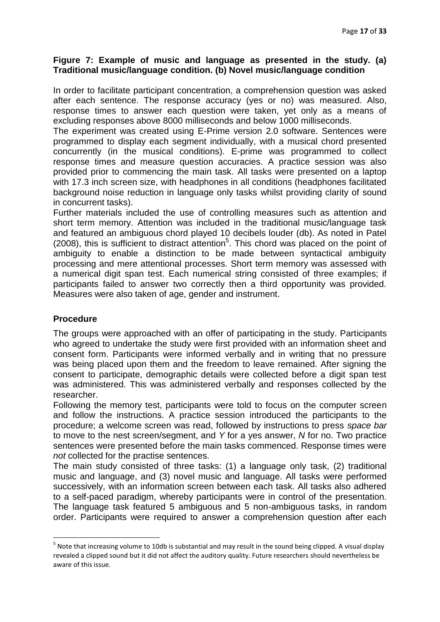#### **Figure 7: Example of music and language as presented in the study. (a) Traditional music/language condition. (b) Novel music/language condition**

In order to facilitate participant concentration, a comprehension question was asked after each sentence. The response accuracy (yes or no) was measured. Also, response times to answer each question were taken, yet only as a means of excluding responses above 8000 milliseconds and below 1000 milliseconds.

The experiment was created using E-Prime version 2.0 software. Sentences were programmed to display each segment individually, with a musical chord presented concurrently (in the musical conditions). E-prime was programmed to collect response times and measure question accuracies. A practice session was also provided prior to commencing the main task. All tasks were presented on a laptop with 17.3 inch screen size, with headphones in all conditions (headphones facilitated background noise reduction in language only tasks whilst providing clarity of sound in concurrent tasks).

Further materials included the use of controlling measures such as attention and short term memory. Attention was included in the traditional music/language task and featured an ambiguous chord played 10 decibels louder (db). As noted in Patel  $(2008)$ , this is sufficient to distract attention<sup>5</sup>. This chord was placed on the point of ambiguity to enable a distinction to be made between syntactical ambiguity processing and mere attentional processes. Short term memory was assessed with a numerical digit span test. Each numerical string consisted of three examples; if participants failed to answer two correctly then a third opportunity was provided. Measures were also taken of age, gender and instrument.

## **Procedure**

**.** 

The groups were approached with an offer of participating in the study. Participants who agreed to undertake the study were first provided with an information sheet and consent form. Participants were informed verbally and in writing that no pressure was being placed upon them and the freedom to leave remained. After signing the consent to participate, demographic details were collected before a digit span test was administered. This was administered verbally and responses collected by the researcher.

Following the memory test, participants were told to focus on the computer screen and follow the instructions. A practice session introduced the participants to the procedure; a welcome screen was read, followed by instructions to press *space bar* to move to the nest screen/segment, and *Y* for a yes answer, *N* for no. Two practice sentences were presented before the main tasks commenced. Response times were *not* collected for the practise sentences.

The main study consisted of three tasks: (1) a language only task, (2) traditional music and language, and (3) novel music and language. All tasks were performed successively, with an information screen between each task. All tasks also adhered to a self-paced paradigm, whereby participants were in control of the presentation. The language task featured 5 ambiguous and 5 non-ambiguous tasks, in random order. Participants were required to answer a comprehension question after each

<sup>&</sup>lt;sup>5</sup> Note that increasing volume to 10db is substantial and may result in the sound being clipped. A visual display revealed a clipped sound but it did not affect the auditory quality. Future researchers should nevertheless be aware of this issue.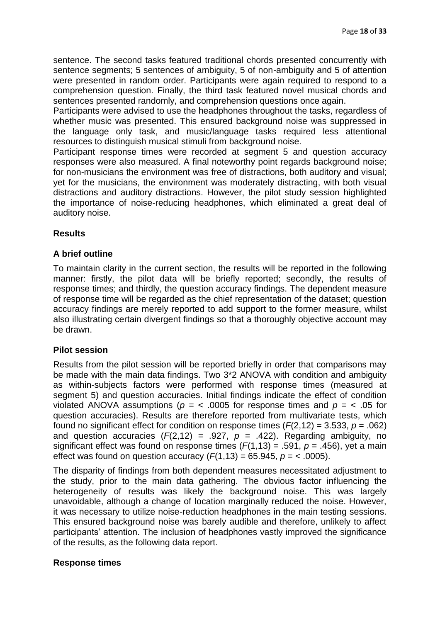sentence. The second tasks featured traditional chords presented concurrently with sentence segments; 5 sentences of ambiguity, 5 of non-ambiguity and 5 of attention were presented in random order. Participants were again required to respond to a comprehension question. Finally, the third task featured novel musical chords and sentences presented randomly, and comprehension questions once again.

Participants were advised to use the headphones throughout the tasks, regardless of whether music was presented. This ensured background noise was suppressed in the language only task, and music/language tasks required less attentional resources to distinguish musical stimuli from background noise.

Participant response times were recorded at segment 5 and question accuracy responses were also measured. A final noteworthy point regards background noise; for non-musicians the environment was free of distractions, both auditory and visual; yet for the musicians, the environment was moderately distracting, with both visual distractions and auditory distractions. However, the pilot study session highlighted the importance of noise-reducing headphones, which eliminated a great deal of auditory noise.

# **Results**

# **A brief outline**

To maintain clarity in the current section, the results will be reported in the following manner: firstly, the pilot data will be briefly reported; secondly, the results of response times; and thirdly, the question accuracy findings. The dependent measure of response time will be regarded as the chief representation of the dataset; question accuracy findings are merely reported to add support to the former measure, whilst also illustrating certain divergent findings so that a thoroughly objective account may be drawn.

## **Pilot session**

Results from the pilot session will be reported briefly in order that comparisons may be made with the main data findings. Two 3\*2 ANOVA with condition and ambiguity as within-subjects factors were performed with response times (measured at segment 5) and question accuracies. Initial findings indicate the effect of condition violated ANOVA assumptions ( $p = \langle .0005 \rangle$  for response times and  $p = \langle .05 \rangle$  for question accuracies). Results are therefore reported from multivariate tests, which found no significant effect for condition on response times (*F*(2,12) = 3.533, *p* = .062) and question accuracies  $(F(2, 12) = .927, p = .422)$ . Regarding ambiguity, no significant effect was found on response times  $(F(1,13) = .591, p = .456)$ , yet a main effect was found on question accuracy  $(F(1,13) = 65.945, p = \langle .0005 \rangle)$ .

The disparity of findings from both dependent measures necessitated adjustment to the study, prior to the main data gathering. The obvious factor influencing the heterogeneity of results was likely the background noise. This was largely unavoidable, although a change of location marginally reduced the noise. However, it was necessary to utilize noise-reduction headphones in the main testing sessions. This ensured background noise was barely audible and therefore, unlikely to affect participants' attention. The inclusion of headphones vastly improved the significance of the results, as the following data report.

## **Response times**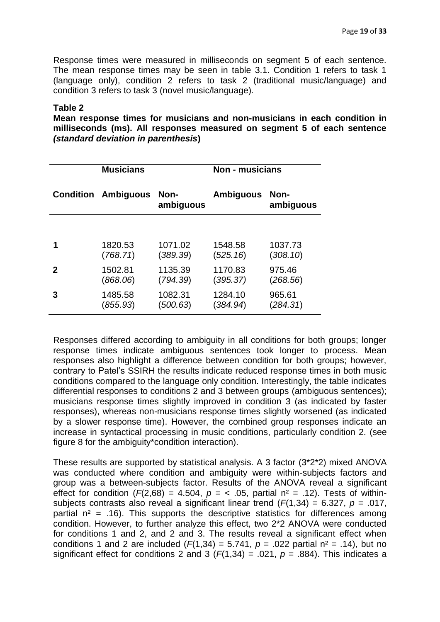Response times were measured in milliseconds on segment 5 of each sentence. The mean response times may be seen in table 3.1. Condition 1 refers to task 1 (language only), condition 2 refers to task 2 (traditional music/language) and condition 3 refers to task 3 (novel music/language).

#### **Table 2**

**Mean response times for musicians and non-musicians in each condition in milliseconds (ms). All responses measured on segment 5 of each sentence**  *(standard deviation in parenthesis***)**

| <b>Musicians</b> |                  |                   | <b>Non - musicians</b> |                   |  |
|------------------|------------------|-------------------|------------------------|-------------------|--|
| Condition        | <b>Ambiguous</b> | Non-<br>ambiguous | <b>Ambiguous</b>       | Non-<br>ambiguous |  |
|                  |                  |                   |                        |                   |  |
|                  | 1820.53          | 1071.02           | 1548.58                | 1037.73           |  |
|                  | (768.71)         | (389.39)          | (525.16)               | (308.10)          |  |
| $\mathbf{p}$     | 1502.81          | 1135.39           | 1170.83                | 975.46            |  |
|                  | (868.06)         | (794.39)          | (395.37)               | (268.56)          |  |
| 3                | 1485.58          | 1082.31           | 1284.10                | 965.61            |  |
|                  | (855.93)         | (500.63)          | (384.94)               | (284.31)          |  |

Responses differed according to ambiguity in all conditions for both groups; longer response times indicate ambiguous sentences took longer to process. Mean responses also highlight a difference between condition for both groups; however, contrary to Patel"s SSIRH the results indicate reduced response times in both music conditions compared to the language only condition. Interestingly, the table indicates differential responses to conditions 2 and 3 between groups (ambiguous sentences); musicians response times slightly improved in condition 3 (as indicated by faster responses), whereas non-musicians response times slightly worsened (as indicated by a slower response time). However, the combined group responses indicate an increase in syntactical processing in music conditions, particularly condition 2. (see figure 8 for the ambiguity\*condition interaction).

These results are supported by statistical analysis. A 3 factor (3\*2\*2) mixed ANOVA was conducted where condition and ambiguity were within-subjects factors and group was a between-subjects factor. Results of the ANOVA reveal a significant effect for condition  $(F(2,68) = 4.504, p = 6.505,$  partial  $n^2 = 0.12$ . Tests of withinsubjects contrasts also reveal a significant linear trend (*F*(1,34) = 6.327, *p* = .017, partial  $n^2$  = .16). This supports the descriptive statistics for differences among condition. However, to further analyze this effect, two 2\*2 ANOVA were conducted for conditions 1 and 2, and 2 and 3. The results reveal a significant effect when conditions 1 and 2 are included  $(F(1,34) = 5.741, p = .022$  partial  $n^2 = .14$ ), but no significant effect for conditions 2 and 3  $(F(1,34) = .021, p = .884)$ . This indicates a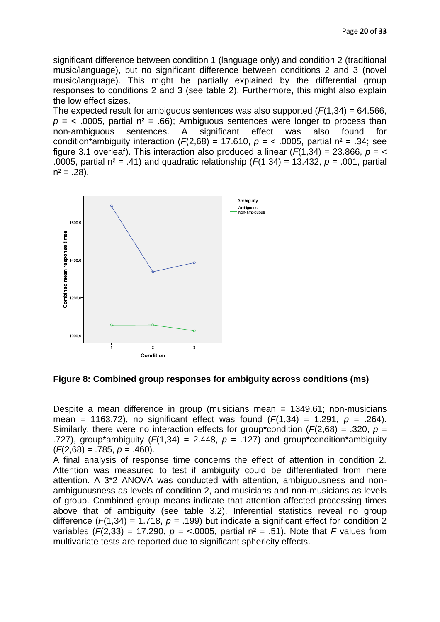significant difference between condition 1 (language only) and condition 2 (traditional music/language), but no significant difference between conditions 2 and 3 (novel music/language). This might be partially explained by the differential group responses to conditions 2 and 3 (see table 2). Furthermore, this might also explain the low effect sizes.

The expected result for ambiguous sentences was also supported  $(F(1,34) = 64.566,$  $p =$  < .0005, partial  $n^2 = .66$ ); Ambiguous sentences were longer to process than non-ambiguous sentences. A significant effect was also found for condition\*ambiguity interaction  $(F(2,68) = 17.610, p = 5,0005,$  partial  $n^2 = .34$ ; see figure 3.1 overleaf). This interaction also produced a linear  $(F(1,34) = 23.866, p = \leq$ .0005, partial n² = .41) and quadratic relationship (*F*(1,34) = 13.432, *p* = .001, partial  $n^2 = .28$ ).



**Figure 8: Combined group responses for ambiguity across conditions (ms)**

Despite a mean difference in group (musicians mean = 1349.61; non-musicians mean = 1163.72), no significant effect was found  $(F(1,34) = 1.291, p = .264)$ . Similarly, there were no interaction effects for group\*condition (*F*(2,68) = .320, *p* = .727), group<sup>\*</sup>ambiguity ( $F(1,34) = 2.448$ ,  $p = .127$ ) and group<sup>\*</sup>condition<sup>\*</sup>ambiguity (*F*(2,68) = .785, *p* = .460).

A final analysis of response time concerns the effect of attention in condition 2. Attention was measured to test if ambiguity could be differentiated from mere attention. A 3\*2 ANOVA was conducted with attention, ambiguousness and nonambiguousness as levels of condition 2, and musicians and non-musicians as levels of group. Combined group means indicate that attention affected processing times above that of ambiguity (see table 3.2). Inferential statistics reveal no group difference  $(F(1,34) = 1.718, p = .199)$  but indicate a significant effect for condition 2 variables  $(F(2,33) = 17.290, p = <.0005,$  partial  $n^2 = .51$ ). Note that *F* values from multivariate tests are reported due to significant sphericity effects.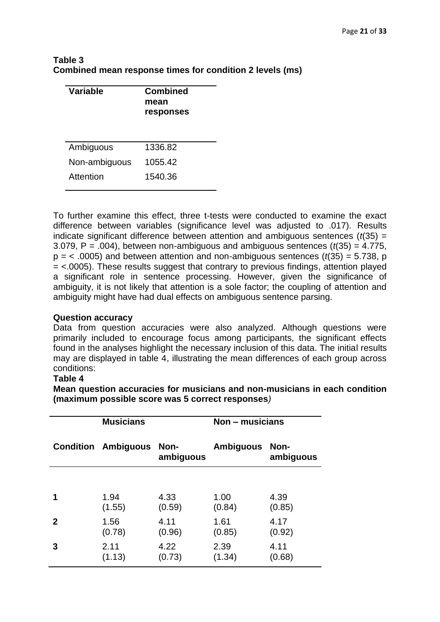| Table 3                                                  |  |
|----------------------------------------------------------|--|
| Combined mean response times for condition 2 levels (ms) |  |

| Variable      | <b>Combined</b><br>mean<br>responses |
|---------------|--------------------------------------|
| Ambiguous     | 1336.82                              |
| Non-ambiguous | 1055.42                              |
| Attention     | 1540.36                              |

To further examine this effect, three t-tests were conducted to examine the exact difference between variables (significance level was adjusted to .017). Results indicate significant difference between attention and ambiguous sentences (*t*(35) = 3.079, P = .004), between non-ambiguous and ambiguous sentences (*t*(35) = 4.775,  $p = < .0005$ ) and between attention and non-ambiguous sentences ( $t(35) = 5.738$ , p = <.0005). These results suggest that contrary to previous findings, attention played a significant role in sentence processing. However, given the significance of ambiguity, it is not likely that attention is a sole factor; the coupling of attention and ambiguity might have had dual effects on ambiguous sentence parsing.

## **Question accuracy**

Data from question accuracies were also analyzed. Although questions were primarily included to encourage focus among participants, the significant effects found in the analyses highlight the necessary inclusion of this data. The initial results may are displayed in table 4, illustrating the mean differences of each group across conditions:

## **Table 4**

**Mean question accuracies for musicians and non-musicians in each condition (maximum possible score was 5 correct responses***)*

| <b>Musicians</b> |                            | Non – musicians   |                       |           |
|------------------|----------------------------|-------------------|-----------------------|-----------|
|                  | <b>Condition Ambiguous</b> | Non-<br>ambiguous | <b>Ambiguous Non-</b> | ambiguous |
|                  |                            |                   |                       |           |
| 1                | 1.94                       | 4.33              | 1.00                  | 4.39      |
|                  | (1.55)                     | (0.59)            | (0.84)                | (0.85)    |
| $\mathbf{2}$     | 1.56                       | 4.11              | 1.61                  | 4.17      |
|                  | (0.78)                     | (0.96)            | (0.85)                | (0.92)    |
| 3                | 2.11                       | 4.22              | 2.39                  | 4.11      |
|                  | (1.13)                     | (0.73)            | (1.34)                | (0.68)    |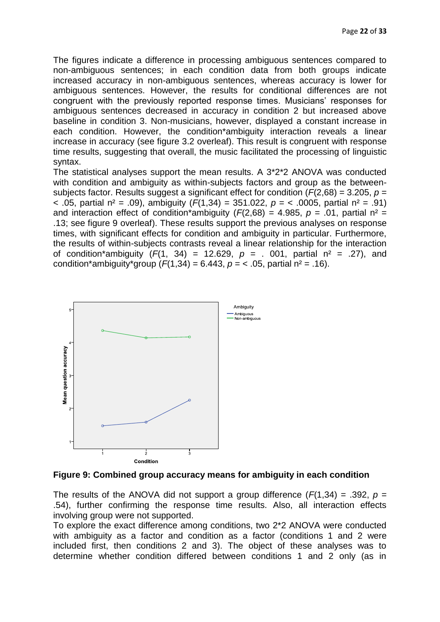The figures indicate a difference in processing ambiguous sentences compared to non-ambiguous sentences; in each condition data from both groups indicate increased accuracy in non-ambiguous sentences, whereas accuracy is lower for ambiguous sentences. However, the results for conditional differences are not congruent with the previously reported response times. Musicians" responses for ambiguous sentences decreased in accuracy in condition 2 but increased above baseline in condition 3. Non-musicians, however, displayed a constant increase in each condition. However, the condition\*ambiguity interaction reveals a linear increase in accuracy (see figure 3.2 overleaf). This result is congruent with response time results, suggesting that overall, the music facilitated the processing of linguistic syntax.

The statistical analyses support the mean results. A 3\*2\*2 ANOVA was conducted with condition and ambiguity as within-subjects factors and group as the betweensubjects factor. Results suggest a significant effect for condition (*F*(2,68) = 3.205, *p* = < .05, partial n² = .09), ambiguity (*F*(1,34) = 351.022, *p* = < .0005, partial n² = .91) and interaction effect of condition\*ambiguity ( $F(2,68) = 4.985$ ,  $p = .01$ , partial  $n^2 =$ .13; see figure 9 overleaf). These results support the previous analyses on response times, with significant effects for condition and ambiguity in particular. Furthermore, the results of within-subjects contrasts reveal a linear relationship for the interaction of condition\*ambiguity  $(F(1, 34) = 12.629, p = .001,$  partial  $n^2 = .27$ , and condition\*ambiguity\*group  $(F(1,34) = 6.443, p = 6.05,$  partial  $n^2 = .16$ ).



**Figure 9: Combined group accuracy means for ambiguity in each condition** 

The results of the ANOVA did not support a group difference  $(F(1,34) = .392, p =$ .54), further confirming the response time results. Also, all interaction effects involving group were not supported.

To explore the exact difference among conditions, two 2\*2 ANOVA were conducted with ambiguity as a factor and condition as a factor (conditions 1 and 2 were included first, then conditions 2 and 3). The object of these analyses was to determine whether condition differed between conditions 1 and 2 only (as in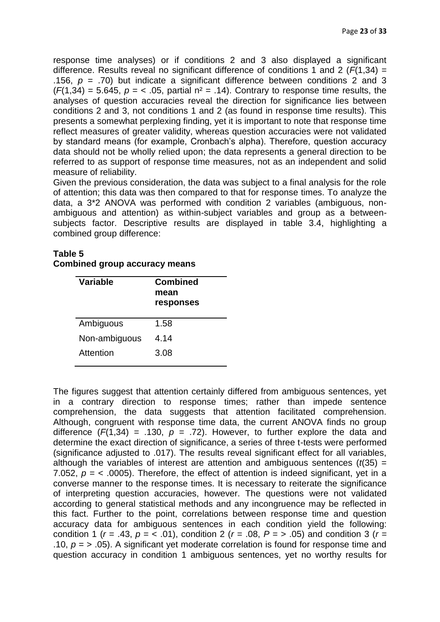response time analyses) or if conditions 2 and 3 also displayed a significant difference. Results reveal no significant difference of conditions 1 and 2 ( $\vec{F}(1,34)$  = .156,  $p = .70$ ) but indicate a significant difference between conditions 2 and 3  $(F(1,34) = 5.645, p = 5.645, p = 105$ , partial  $n^2 = .14$ ). Contrary to response time results, the analyses of question accuracies reveal the direction for significance lies between conditions 2 and 3, not conditions 1 and 2 (as found in response time results). This presents a somewhat perplexing finding, yet it is important to note that response time reflect measures of greater validity, whereas question accuracies were not validated by standard means (for example, Cronbach"s alpha). Therefore, question accuracy data should not be wholly relied upon; the data represents a general direction to be referred to as support of response time measures, not as an independent and solid measure of reliability.

Given the previous consideration, the data was subject to a final analysis for the role of attention; this data was then compared to that for response times. To analyze the data, a 3\*2 ANOVA was performed with condition 2 variables (ambiguous, nonambiguous and attention) as within-subject variables and group as a betweensubjects factor. Descriptive results are displayed in table 3.4, highlighting a combined group difference:

| Table 5                              |  |  |
|--------------------------------------|--|--|
| <b>Combined group accuracy means</b> |  |  |

| Variable      | <b>Combined</b><br>mean<br>responses |
|---------------|--------------------------------------|
| Ambiguous     | 1.58                                 |
| Non-ambiguous | 4.14                                 |
| Attention     | 3.08                                 |

The figures suggest that attention certainly differed from ambiguous sentences, yet in a contrary direction to response times; rather than impede sentence comprehension, the data suggests that attention facilitated comprehension. Although, congruent with response time data, the current ANOVA finds no group difference  $(F(1,34) = .130, p = .72)$ . However, to further explore the data and determine the exact direction of significance, a series of three t-tests were performed (significance adjusted to .017). The results reveal significant effect for all variables, although the variables of interest are attention and ambiguous sentences  $(t/35)$  = 7.052,  $p = \langle 0.0005 \rangle$ . Therefore, the effect of attention is indeed significant, yet in a converse manner to the response times. It is necessary to reiterate the significance of interpreting question accuracies, however. The questions were not validated according to general statistical methods and any incongruence may be reflected in this fact. Further to the point, correlations between response time and question accuracy data for ambiguous sentences in each condition yield the following: condition 1 ( $r = .43$ ,  $p = < .01$ ), condition 2 ( $r = .08$ ,  $P = > .05$ ) and condition 3 ( $r =$ .10,  $p = \times 0.05$ ). A significant yet moderate correlation is found for response time and question accuracy in condition 1 ambiguous sentences, yet no worthy results for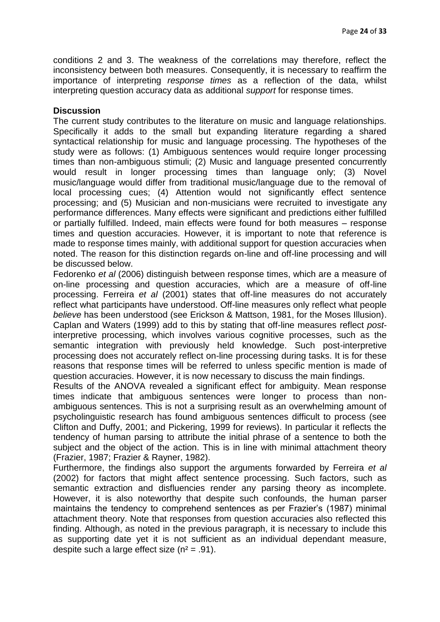conditions 2 and 3. The weakness of the correlations may therefore, reflect the inconsistency between both measures. Consequently, it is necessary to reaffirm the importance of interpreting *response times* as a reflection of the data, whilst interpreting question accuracy data as additional *support* for response times.

#### **Discussion**

The current study contributes to the literature on music and language relationships. Specifically it adds to the small but expanding literature regarding a shared syntactical relationship for music and language processing. The hypotheses of the study were as follows: (1) Ambiguous sentences would require longer processing times than non-ambiguous stimuli; (2) Music and language presented concurrently would result in longer processing times than language only; (3) Novel music/language would differ from traditional music/language due to the removal of local processing cues; (4) Attention would not significantly effect sentence processing; and (5) Musician and non-musicians were recruited to investigate any performance differences. Many effects were significant and predictions either fulfilled or partially fulfilled. Indeed, main effects were found for both measures – response times and question accuracies. However, it is important to note that reference is made to response times mainly, with additional support for question accuracies when noted. The reason for this distinction regards on-line and off-line processing and will be discussed below.

Fedorenko *et al* (2006) distinguish between response times, which are a measure of on-line processing and question accuracies, which are a measure of off-line processing. Ferreira *et al* (2001) states that off-line measures do not accurately reflect what participants have understood. Off-line measures only reflect what people *believe* has been understood (see Erickson & Mattson, 1981, for the Moses Illusion). Caplan and Waters (1999) add to this by stating that off-line measures reflect *post*interpretive processing, which involves various cognitive processes, such as the semantic integration with previously held knowledge. Such post-interpretive processing does not accurately reflect on-line processing during tasks. It is for these reasons that response times will be referred to unless specific mention is made of question accuracies. However, it is now necessary to discuss the main findings.

Results of the ANOVA revealed a significant effect for ambiguity. Mean response times indicate that ambiguous sentences were longer to process than nonambiguous sentences. This is not a surprising result as an overwhelming amount of psycholinguistic research has found ambiguous sentences difficult to process (see Clifton and Duffy, 2001; and Pickering, 1999 for reviews). In particular it reflects the tendency of human parsing to attribute the initial phrase of a sentence to both the subject and the object of the action. This is in line with minimal attachment theory (Frazier, 1987; Frazier & Rayner, 1982).

Furthermore, the findings also support the arguments forwarded by Ferreira *et al* (2002) for factors that might affect sentence processing. Such factors, such as semantic extraction and disfluencies render any parsing theory as incomplete. However, it is also noteworthy that despite such confounds, the human parser maintains the tendency to comprehend sentences as per Frazier"s (1987) minimal attachment theory. Note that responses from question accuracies also reflected this finding. Although, as noted in the previous paragraph, it is necessary to include this as supporting date yet it is not sufficient as an individual dependant measure, despite such a large effect size  $(n^2 = .91)$ .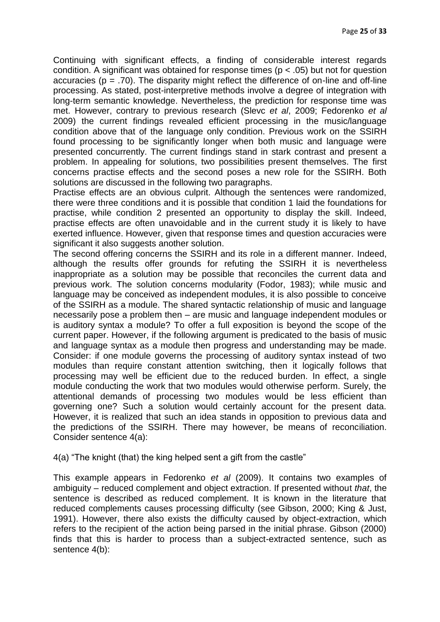Continuing with significant effects, a finding of considerable interest regards condition. A significant was obtained for response times ( $p < .05$ ) but not for question accuracies ( $p = .70$ ). The disparity might reflect the difference of on-line and off-line processing. As stated, post-interpretive methods involve a degree of integration with long-term semantic knowledge. Nevertheless, the prediction for response time was met. However, contrary to previous research (Slevc *et al*, 2009; Fedorenko *et al* 2009) the current findings revealed efficient processing in the music/language condition above that of the language only condition. Previous work on the SSIRH found processing to be significantly longer when both music and language were presented concurrently. The current findings stand in stark contrast and present a problem. In appealing for solutions, two possibilities present themselves. The first concerns practise effects and the second poses a new role for the SSIRH. Both solutions are discussed in the following two paragraphs.

Practise effects are an obvious culprit. Although the sentences were randomized, there were three conditions and it is possible that condition 1 laid the foundations for practise, while condition 2 presented an opportunity to display the skill. Indeed, practise effects are often unavoidable and in the current study it is likely to have exerted influence. However, given that response times and question accuracies were significant it also suggests another solution.

The second offering concerns the SSIRH and its role in a different manner. Indeed, although the results offer grounds for refuting the SSIRH it is nevertheless inappropriate as a solution may be possible that reconciles the current data and previous work. The solution concerns modularity (Fodor, 1983); while music and language may be conceived as independent modules, it is also possible to conceive of the SSIRH as a module. The shared syntactic relationship of music and language necessarily pose a problem then – are music and language independent modules or is auditory syntax a module? To offer a full exposition is beyond the scope of the current paper. However, if the following argument is predicated to the basis of music and language syntax as a module then progress and understanding may be made. Consider: if one module governs the processing of auditory syntax instead of two modules than require constant attention switching, then it logically follows that processing may well be efficient due to the reduced burden. In effect, a single module conducting the work that two modules would otherwise perform. Surely, the attentional demands of processing two modules would be less efficient than governing one? Such a solution would certainly account for the present data. However, it is realized that such an idea stands in opposition to previous data and the predictions of the SSIRH. There may however, be means of reconciliation. Consider sentence 4(a):

4(a) "The knight (that) the king helped sent a gift from the castle"

This example appears in Fedorenko *et al* (2009). It contains two examples of ambiguity – reduced complement and object extraction. If presented without *that*, the sentence is described as reduced complement. It is known in the literature that reduced complements causes processing difficulty (see Gibson, 2000; King & Just, 1991). However, there also exists the difficulty caused by object-extraction, which refers to the recipient of the action being parsed in the initial phrase. Gibson (2000) finds that this is harder to process than a subject-extracted sentence, such as sentence 4(b):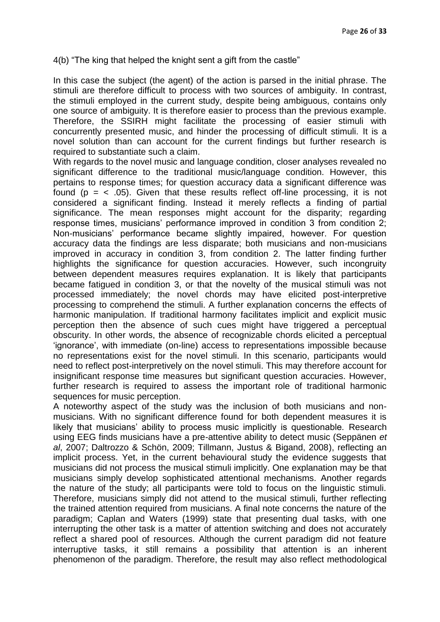4(b) "The king that helped the knight sent a gift from the castle"

In this case the subject (the agent) of the action is parsed in the initial phrase. The stimuli are therefore difficult to process with two sources of ambiguity. In contrast, the stimuli employed in the current study, despite being ambiguous, contains only one source of ambiguity. It is therefore easier to process than the previous example. Therefore, the SSIRH might facilitate the processing of easier stimuli with concurrently presented music, and hinder the processing of difficult stimuli. It is a novel solution than can account for the current findings but further research is required to substantiate such a claim.

With regards to the novel music and language condition, closer analyses revealed no significant difference to the traditional music/language condition. However, this pertains to response times; for question accuracy data a significant difference was found ( $p = < .05$ ). Given that these results reflect off-line processing, it is not considered a significant finding. Instead it merely reflects a finding of partial significance. The mean responses might account for the disparity; regarding response times, musicians' performance improved in condition 3 from condition 2; Non-musicians" performance became slightly impaired, however. For question accuracy data the findings are less disparate; both musicians and non-musicians improved in accuracy in condition 3, from condition 2. The latter finding further highlights the significance for question accuracies. However, such incongruity between dependent measures requires explanation. It is likely that participants became fatigued in condition 3, or that the novelty of the musical stimuli was not processed immediately; the novel chords may have elicited post-interpretive processing to comprehend the stimuli. A further explanation concerns the effects of harmonic manipulation. If traditional harmony facilitates implicit and explicit music perception then the absence of such cues might have triggered a perceptual obscurity. In other words, the absence of recognizable chords elicited a perceptual "ignorance", with immediate (on-line) access to representations impossible because no representations exist for the novel stimuli. In this scenario, participants would need to reflect post-interpretively on the novel stimuli. This may therefore account for insignificant response time measures but significant question accuracies. However, further research is required to assess the important role of traditional harmonic sequences for music perception.

A noteworthy aspect of the study was the inclusion of both musicians and nonmusicians. With no significant difference found for both dependent measures it is likely that musicians' ability to process music implicitly is questionable. Research using EEG finds musicians have a pre-attentive ability to detect music (Seppänen *et al*, 2007; Daltrozzo & Schön, 2009; Tillmann, Justus & Bigand, 2008), reflecting an implicit process. Yet, in the current behavioural study the evidence suggests that musicians did not process the musical stimuli implicitly. One explanation may be that musicians simply develop sophisticated attentional mechanisms. Another regards the nature of the study; all participants were told to focus on the linguistic stimuli. Therefore, musicians simply did not attend to the musical stimuli, further reflecting the trained attention required from musicians. A final note concerns the nature of the paradigm; Caplan and Waters (1999) state that presenting dual tasks, with one interrupting the other task is a matter of attention switching and does not accurately reflect a shared pool of resources. Although the current paradigm did not feature interruptive tasks, it still remains a possibility that attention is an inherent phenomenon of the paradigm. Therefore, the result may also reflect methodological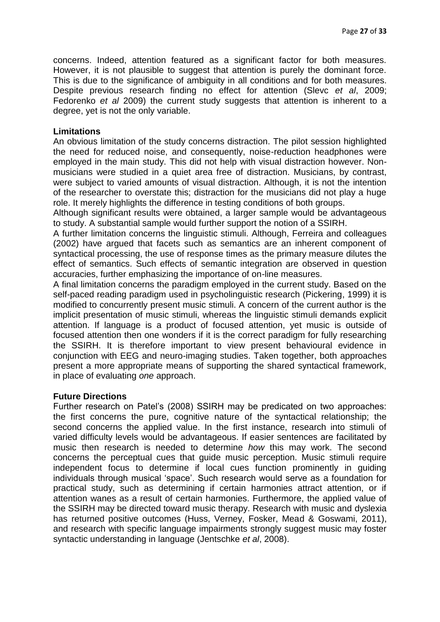concerns. Indeed, attention featured as a significant factor for both measures. However, it is not plausible to suggest that attention is purely the dominant force. This is due to the significance of ambiguity in all conditions and for both measures. Despite previous research finding no effect for attention (Slevc *et al*, 2009; Fedorenko *et al* 2009) the current study suggests that attention is inherent to a degree, yet is not the only variable.

#### **Limitations**

An obvious limitation of the study concerns distraction. The pilot session highlighted the need for reduced noise, and consequently, noise-reduction headphones were employed in the main study. This did not help with visual distraction however. Nonmusicians were studied in a quiet area free of distraction. Musicians, by contrast, were subject to varied amounts of visual distraction. Although, it is not the intention of the researcher to overstate this; distraction for the musicians did not play a huge role. It merely highlights the difference in testing conditions of both groups.

Although significant results were obtained, a larger sample would be advantageous to study. A substantial sample would further support the notion of a SSIRH.

A further limitation concerns the linguistic stimuli. Although, Ferreira and colleagues (2002) have argued that facets such as semantics are an inherent component of syntactical processing, the use of response times as the primary measure dilutes the effect of semantics. Such effects of semantic integration are observed in question accuracies, further emphasizing the importance of on-line measures.

A final limitation concerns the paradigm employed in the current study. Based on the self-paced reading paradigm used in psycholinguistic research (Pickering, 1999) it is modified to concurrently present music stimuli. A concern of the current author is the implicit presentation of music stimuli, whereas the linguistic stimuli demands explicit attention. If language is a product of focused attention, yet music is outside of focused attention then one wonders if it is the correct paradigm for fully researching the SSIRH. It is therefore important to view present behavioural evidence in conjunction with EEG and neuro-imaging studies. Taken together, both approaches present a more appropriate means of supporting the shared syntactical framework, in place of evaluating *one* approach.

#### **Future Directions**

Further research on Patel"s (2008) SSIRH may be predicated on two approaches: the first concerns the pure, cognitive nature of the syntactical relationship; the second concerns the applied value. In the first instance, research into stimuli of varied difficulty levels would be advantageous. If easier sentences are facilitated by music then research is needed to determine *how* this may work. The second concerns the perceptual cues that guide music perception. Music stimuli require independent focus to determine if local cues function prominently in guiding individuals through musical "space". Such research would serve as a foundation for practical study, such as determining if certain harmonies attract attention, or if attention wanes as a result of certain harmonies. Furthermore, the applied value of the SSIRH may be directed toward music therapy. Research with music and dyslexia has returned positive outcomes (Huss, Verney, Fosker, Mead & Goswami, 2011), and research with specific language impairments strongly suggest music may foster syntactic understanding in language (Jentschke *et al*, 2008).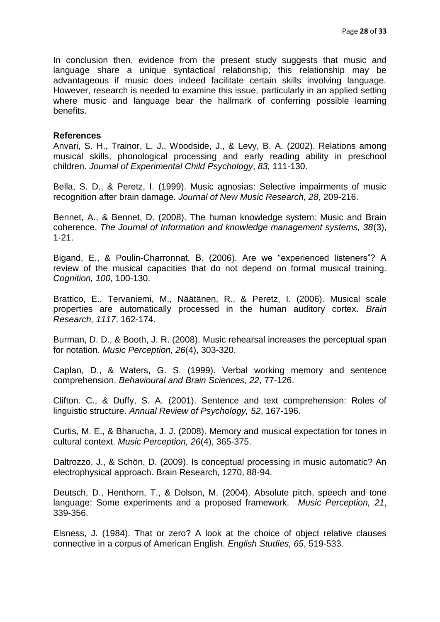In conclusion then, evidence from the present study suggests that music and language share a unique syntactical relationship; this relationship may be advantageous if music does indeed facilitate certain skills involving language. However, research is needed to examine this issue, particularly in an applied setting where music and language bear the hallmark of conferring possible learning benefits.

#### **References**

Anvari, S. H., Trainor, L. J., Woodside, J., & Levy, B. A. (2002). Relations among musical skills, phonological processing and early reading ability in preschool children. *Journal of Experimental Child Psychology*, *83,* 111-130.

Bella, S. D., & Peretz, I. (1999). Music agnosias: Selective impairments of music recognition after brain damage. *Journal of New Music Research, 28*, 209-216.

Bennet, A., & Bennet, D. (2008). The human knowledge system: Music and Brain coherence. *The Journal of Information and knowledge management systems, 38*(3), 1-21.

Bigand, E., & Poulin-Charronnat, B. (2006). Are we "experienced listeners"? A review of the musical capacities that do not depend on formal musical training. *Cognition, 100*, 100-130.

Brattico, E., Tervaniemi, M., Näätänen, R., & Peretz, I. (2006). Musical scale properties are automatically processed in the human auditory cortex. *Brain Research, 1117*, 162-174.

Burman, D. D., & Booth, J. R. (2008). Music rehearsal increases the perceptual span for notation. *Music Perception, 26*(4), 303-320.

Caplan, D., & Waters, G. S. (1999). Verbal working memory and sentence comprehension. *Behavioural and Brain Sciences, 22*, 77-126.

Clifton. C., & Duffy, S. A. (2001). Sentence and text comprehension: Roles of linguistic structure. *Annual Review of Psychology, 52*, 167-196.

Curtis, M. E., & Bharucha, J. J. (2008). Memory and musical expectation for tones in cultural context. *Music Perception, 26*(4), 365-375.

Daltrozzo, J., & Schön, D. (2009). Is conceptual processing in music automatic? An electrophysical approach. Brain Research, 1270, 88-94.

Deutsch, D., Henthorn, T., & Dolson, M. (2004). Absolute pitch, speech and tone language: Some experiments and a proposed framework. *Music Perception, 21*, 339-356.

Elsness, J. (1984). That or zero? A look at the choice of object relative clauses connective in a corpus of American English. *English Studies, 65*, 519-533.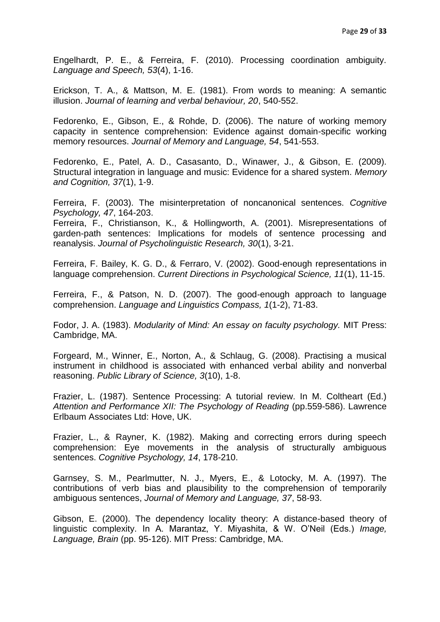Engelhardt, P. E., & Ferreira, F. (2010). Processing coordination ambiguity. *Language and Speech, 53*(4), 1-16.

Erickson, T. A., & Mattson, M. E. (1981). From words to meaning: A semantic illusion. *Journal of learning and verbal behaviour, 20*, 540-552.

Fedorenko, E., Gibson, E., & Rohde, D. (2006). The nature of working memory capacity in sentence comprehension: Evidence against domain-specific working memory resources. *Journal of Memory and Language, 54*, 541-553.

Fedorenko, E., Patel, A. D., Casasanto, D., Winawer, J., & Gibson, E. (2009). Structural integration in language and music: Evidence for a shared system. *Memory and Cognition, 37*(1), 1-9.

Ferreira, F. (2003). The misinterpretation of noncanonical sentences. *Cognitive Psychology, 47*, 164-203.

Ferreira, F., Christianson, K., & Hollingworth, A. (2001). Misrepresentations of garden-path sentences: Implications for models of sentence processing and reanalysis. *Journal of Psycholinguistic Research, 30*(1), 3-21.

Ferreira, F. Bailey, K. G. D., & Ferraro, V. (2002). Good-enough representations in language comprehension. *Current Directions in Psychological Science, 11*(1), 11-15.

Ferreira, F., & Patson, N. D. (2007). The good-enough approach to language comprehension. *Language and Linguistics Compass, 1*(1-2), 71-83.

Fodor, J. A. (1983). *Modularity of Mind: An essay on faculty psychology.* MIT Press: Cambridge, MA.

Forgeard, M., Winner, E., Norton, A., & Schlaug, G. (2008). Practising a musical instrument in childhood is associated with enhanced verbal ability and nonverbal reasoning. *Public Library of Science, 3*(10), 1-8.

Frazier, L. (1987). Sentence Processing: A tutorial review. In M. Coltheart (Ed.) Attention and Performance XII: The Psychology of Reading (pp.559-586). Lawrence Erlbaum Associates Ltd: Hove, UK.

Frazier, L., & Rayner, K. (1982). Making and correcting errors during speech comprehension: Eye movements in the analysis of structurally ambiguous sentences. *Cognitive Psychology, 14*, 178-210.

Garnsey, S. M., Pearlmutter, N. J., Myers, E., & Lotocky, M. A. (1997). The contributions of verb bias and plausibility to the comprehension of temporarily ambiguous sentences, *Journal of Memory and Language, 37*, 58-93.

Gibson, E. (2000). The dependency locality theory: A distance-based theory of linguistic complexity. In A. Marantaz, Y. Miyashita, & W. O"Neil (Eds.) *Image, Language, Brain* (pp. 95-126). MIT Press: Cambridge, MA.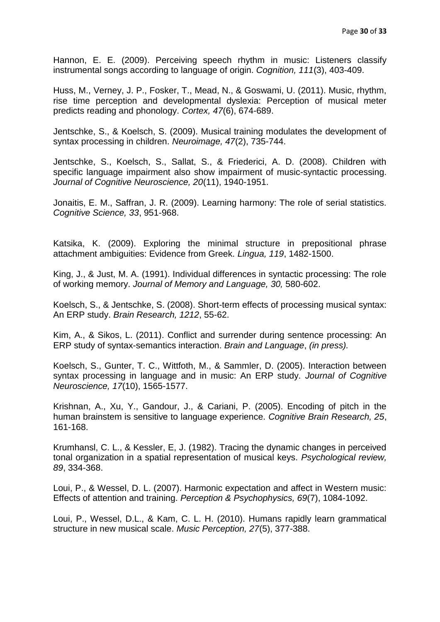Hannon, E. E. (2009). Perceiving speech rhythm in music: Listeners classify instrumental songs according to language of origin. *Cognition, 111*(3), 403-409.

Huss, M., Verney, J. P., Fosker, T., Mead, N., & Goswami, U. (2011). Music, rhythm, rise time perception and developmental dyslexia: Perception of musical meter predicts reading and phonology. *Cortex, 47*(6), 674-689.

Jentschke, S., & Koelsch, S. (2009). Musical training modulates the development of syntax processing in children. *Neuroimage, 47*(2), 735-744.

Jentschke, S., Koelsch, S., Sallat, S., & Friederici, A. D. (2008). Children with specific language impairment also show impairment of music-syntactic processing. *Journal of Cognitive Neuroscience, 20*(11), 1940-1951.

Jonaitis, E. M., Saffran, J. R. (2009). Learning harmony: The role of serial statistics. *Cognitive Science, 33*, 951-968.

Katsika, K. (2009). Exploring the minimal structure in prepositional phrase attachment ambiguities: Evidence from Greek. *Lingua, 119*, 1482-1500.

King, J., & Just, M. A. (1991). Individual differences in syntactic processing: The role of working memory. *Journal of Memory and Language, 30,* 580-602.

Koelsch, S., & Jentschke, S. (2008). Short-term effects of processing musical syntax: An ERP study. *Brain Research, 1212*, 55-62.

Kim, A., & Sikos, L. (2011). Conflict and surrender during sentence processing: An ERP study of syntax-semantics interaction. *Brain and Language*, *(in press).*

Koelsch, S., Gunter, T. C., Wittfoth, M., & Sammler, D. (2005). Interaction between syntax processing in language and in music: An ERP study. *Journal of Cognitive Neuroscience, 17*(10), 1565-1577.

Krishnan, A., Xu, Y., Gandour, J., & Cariani, P. (2005). Encoding of pitch in the human brainstem is sensitive to language experience. *Cognitive Brain Research, 25*, 161-168.

Krumhansl, C. L., & Kessler, E, J. (1982). Tracing the dynamic changes in perceived tonal organization in a spatial representation of musical keys. *Psychological review, 89*, 334-368.

Loui, P., & Wessel, D. L. (2007). Harmonic expectation and affect in Western music: Effects of attention and training. *Perception & Psychophysics, 69*(7), 1084-1092.

Loui, P., Wessel, D.L., & Kam, C. L. H. (2010). Humans rapidly learn grammatical structure in new musical scale. *Music Perception, 27*(5), 377-388.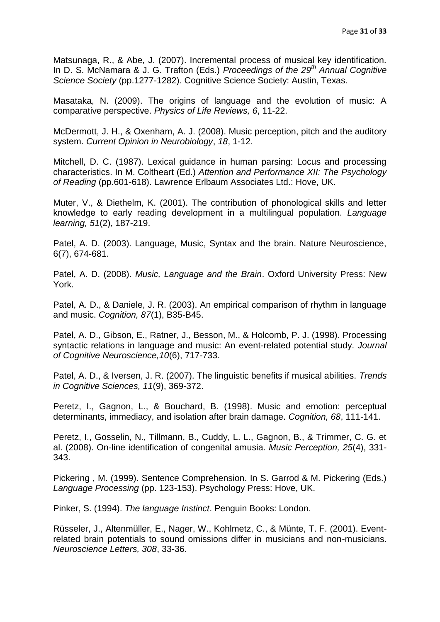Matsunaga, R., & Abe, J. (2007). Incremental process of musical key identification. In D. S. McNamara & J. G. Trafton (Eds.) *Proceedings of the 29th Annual Cognitive Science Society* (pp.1277-1282). Cognitive Science Society: Austin, Texas.

Masataka, N. (2009). The origins of language and the evolution of music: A comparative perspective. *Physics of Life Reviews, 6*, 11-22.

McDermott, J. H., & Oxenham, A. J. (2008). Music perception, pitch and the auditory system. *Current Opinion in Neurobiology*, *18*, 1-12.

Mitchell, D. C. (1987). Lexical guidance in human parsing: Locus and processing characteristics. In M. Coltheart (Ed.) *Attention and Performance XII: The Psychology of Reading* (pp.601-618). Lawrence Erlbaum Associates Ltd.: Hove, UK.

Muter, V., & Diethelm, K. (2001). The contribution of phonological skills and letter knowledge to early reading development in a multilingual population. *Language learning, 51*(2), 187-219.

Patel, A. D. (2003). Language, Music, Syntax and the brain. Nature Neuroscience, 6(7), 674-681.

Patel, A. D. (2008). *Music, Language and the Brain*. Oxford University Press: New York.

Patel, A. D., & Daniele, J. R. (2003). An empirical comparison of rhythm in language and music. *Cognition, 87*(1), B35-B45.

Patel, A. D., Gibson, E., Ratner, J., Besson, M., & Holcomb, P. J. (1998). Processing syntactic relations in language and music: An event-related potential study. *Journal of Cognitive Neuroscience,10*(6), 717-733.

Patel, A. D., & Iversen, J. R. (2007). The linguistic benefits if musical abilities. *Trends in Cognitive Sciences, 11*(9), 369-372.

Peretz, I., Gagnon, L., & Bouchard, B. (1998). Music and emotion: perceptual determinants, immediacy, and isolation after brain damage. *Cognition, 68*, 111-141.

Peretz, I., Gosselin, N., Tillmann, B., Cuddy, L. L., Gagnon, B., & Trimmer, C. G. et al. (2008). On-line identification of congenital amusia. *Music Perception, 25*(4), 331- 343.

Pickering , M. (1999). Sentence Comprehension. In S. Garrod & M. Pickering (Eds.) *Language Processing* (pp. 123-153). Psychology Press: Hove, UK.

Pinker, S. (1994). *The language Instinct*. Penguin Books: London.

Rüsseler, J., Altenmüller, E., Nager, W., Kohlmetz, C., & Münte, T. F. (2001). Eventrelated brain potentials to sound omissions differ in musicians and non-musicians. *Neuroscience Letters, 308*, 33-36.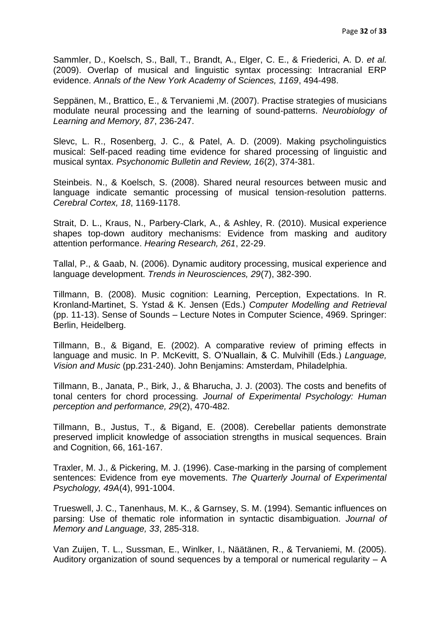Sammler, D., Koelsch, S., Ball, T., Brandt, A., Elger, C. E., & Friederici, A. D. *et al.* (2009). Overlap of musical and linguistic syntax processing: Intracranial ERP evidence. *Annals of the New York Academy of Sciences, 1169*, 494-498.

Seppänen, M., Brattico, E., & Tervaniemi ,M. (2007). Practise strategies of musicians modulate neural processing and the learning of sound-patterns. *Neurobiology of Learning and Memory, 87*, 236-247.

Slevc, L. R., Rosenberg, J. C., & Patel, A. D. (2009). Making psycholinguistics musical: Self-paced reading time evidence for shared processing of linguistic and musical syntax. *Psychonomic Bulletin and Review, 16*(2), 374-381.

Steinbeis. N., & Koelsch, S. (2008). Shared neural resources between music and language indicate semantic processing of musical tension-resolution patterns. *Cerebral Cortex, 18*, 1169-1178.

Strait, D. L., Kraus, N., Parbery-Clark, A., & Ashley, R. (2010). Musical experience shapes top-down auditory mechanisms: Evidence from masking and auditory attention performance. *Hearing Research, 261*, 22-29.

Tallal, P., & Gaab, N. (2006). Dynamic auditory processing, musical experience and language development. *Trends in Neurosciences, 29*(7), 382-390.

Tillmann, B. (2008). Music cognition: Learning, Perception, Expectations. In R. Kronland-Martinet, S. Ystad & K. Jensen (Eds.) *Computer Modelling and Retrieval* (pp. 11-13). Sense of Sounds – Lecture Notes in Computer Science, 4969. Springer: Berlin, Heidelberg.

Tillmann, B., & Bigand, E. (2002). A comparative review of priming effects in language and music. In P. McKevitt, S. O"Nuallain, & C. Mulvihill (Eds.) *Language, Vision and Music* (pp.231-240). John Benjamins: Amsterdam, Philadelphia.

Tillmann, B., Janata, P., Birk, J., & Bharucha, J. J. (2003). The costs and benefits of tonal centers for chord processing. *Journal of Experimental Psychology: Human perception and performance, 29*(2), 470-482.

Tillmann, B., Justus, T., & Bigand, E. (2008). Cerebellar patients demonstrate preserved implicit knowledge of association strengths in musical sequences. Brain and Cognition, 66, 161-167.

Traxler, M. J., & Pickering, M. J. (1996). Case-marking in the parsing of complement sentences: Evidence from eye movements. *The Quarterly Journal of Experimental Psychology, 49A*(4), 991-1004.

Trueswell, J. C., Tanenhaus, M. K., & Garnsey, S. M. (1994). Semantic influences on parsing: Use of thematic role information in syntactic disambiguation. *Journal of Memory and Language, 33*, 285-318.

Van Zuijen, T. L., Sussman, E., Winlker, I., Näätänen, R., & Tervaniemi, M. (2005). Auditory organization of sound sequences by a temporal or numerical regularity – A